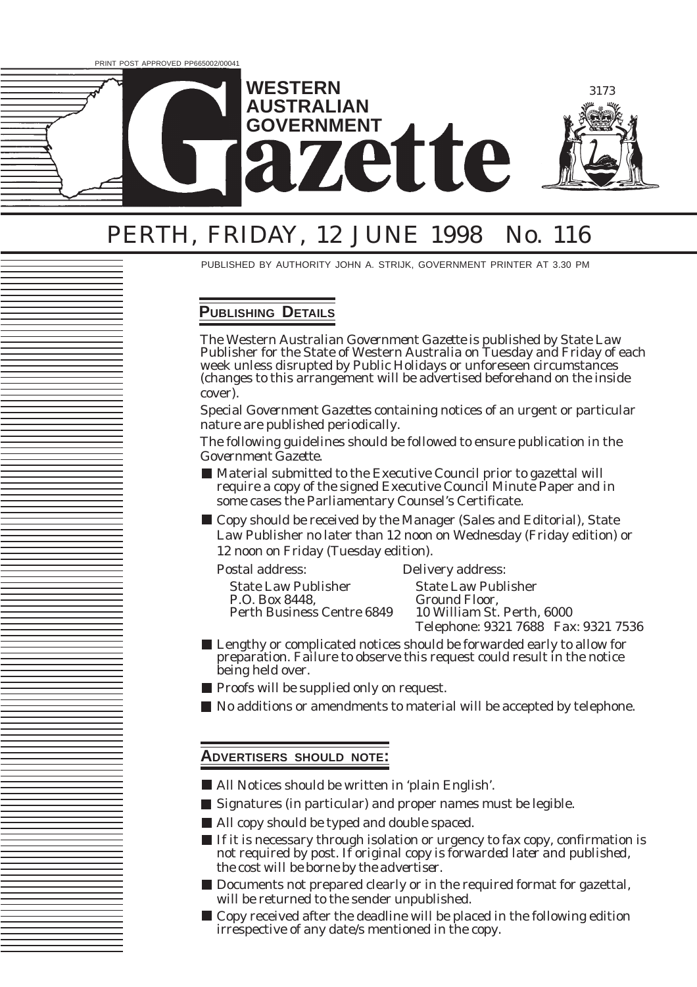

# PERTH, FRIDAY, 12 JUNE 1998 No. 116

PUBLISHED BY AUTHORITY JOHN A. STRIJK, GOVERNMENT PRINTER AT 3.30 PM

## **PUBLISHING DETAILS**

The Western Australian *Government Gazette* is published by State Law Publisher for the State of Western Australia on Tuesday and Friday of each week unless disrupted by Public Holidays or unforeseen circumstances (changes to this arrangement will be advertised beforehand on the inside cover).

Special *Government Gazettes* containing notices of an urgent or particular nature are published periodically.

The following guidelines should be followed to ensure publication in the *Government Gazette*.

- Material submitted to the Executive Council prior to gazettal will require a copy of the signed Executive Council Minute Paper and in some cases the Parliamentary Counsel's Certificate.
- Copy should be received by the Manager (Sales and Editorial), State Law Publisher no later than 12 noon on Wednesday (Friday edition) or 12 noon on Friday (Tuesday edition).

Postal address: Delivery address:

| <b>State Law Publisher</b> |
|----------------------------|
| P.O. Box 8448,             |
| Perth Business Centre 6849 |

**State Law Publisher** Ground Floor, 10 William St. Perth, 6000 Telephone: 9321 7688 Fax: 9321 7536

- Lengthy or complicated notices should be forwarded early to allow for preparation. Failure to observe this request could result in the notice being held over.
- **Proofs will be supplied only on request.**
- $\blacksquare$  No additions or amendments to material will be accepted by telephone.

### **ADVERTISERS SHOULD NOTE:**

- All Notices should be written in 'plain English'.
- Signatures (in particular) and proper names must be legible.
- All copy should be typed and double spaced.
- If it is necessary through isolation or urgency to fax copy, confirmation is not required by post. *If original copy is forwarded later and published, the cost will be borne by the advertiser.*
- Documents not prepared clearly or in the required format for gazettal, will be returned to the sender unpublished.
- Copy received after the deadline will be placed in the following edition irrespective of any date/s mentioned in the copy.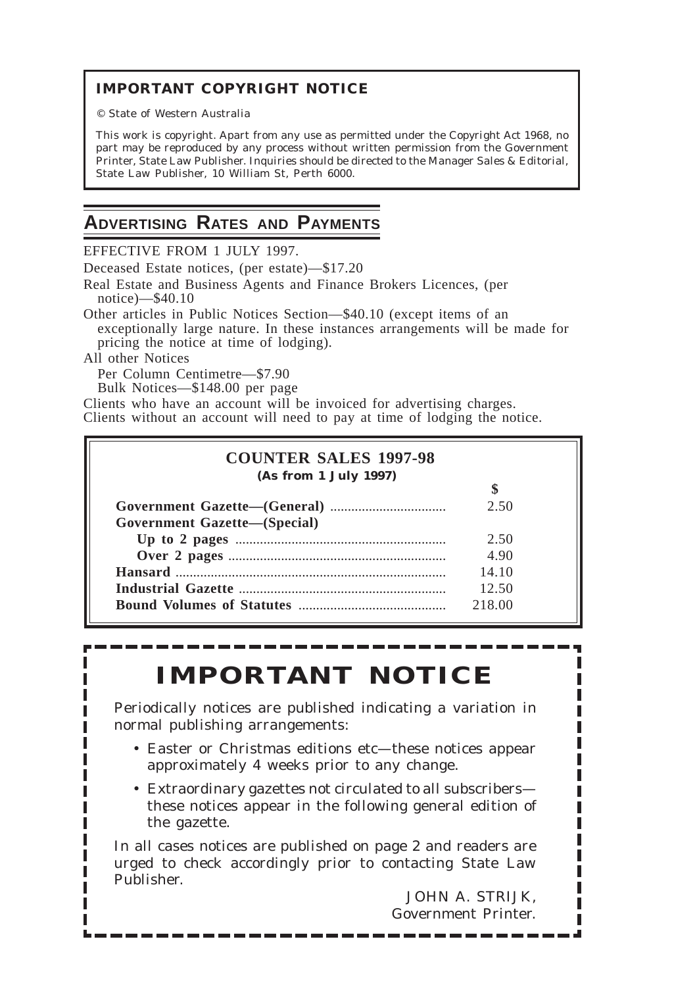## **IMPORTANT COPYRIGHT NOTICE**

© State of Western Australia

This work is copyright. Apart from any use as permitted under the *Copyright Act 1968*, no part may be reproduced by any process without written permission from the Government Printer, State Law Publisher. Inquiries should be directed to the Manager Sales & Editorial, State Law Publisher, 10 William St, Perth 6000.

3174 Government Gazette, Wa [12] Government Gazette, Wa [12] Government Gazette, Wa [12] Government Gazette, W

# **ADVERTISING RATES AND PAYMENTS**

EFFECTIVE FROM 1 JULY 1997.

Deceased Estate notices, (per estate)—\$17.20

Real Estate and Business Agents and Finance Brokers Licences, (per notice)—\$40.10

Other articles in Public Notices Section—\$40.10 (except items of an exceptionally large nature. In these instances arrangements will be made for pricing the notice at time of lodging).

All other Notices

Per Column Centimetre—\$7.90

Bulk Notices—\$148.00 per page

Clients who have an account will be invoiced for advertising charges. Clients without an account will need to pay at time of lodging the notice.

| (As from 1 July 1997)               |        |
|-------------------------------------|--------|
|                                     | 2.50   |
| <b>Government Gazette-(Special)</b> |        |
|                                     | 2.50   |
|                                     | 4.90   |
|                                     | 14.10  |
|                                     | 12.50  |
|                                     | 218.00 |

# **IMPORTANT NOTICE**

Periodically notices are published indicating a variation in normal publishing arrangements:

- Easter or Christmas editions etc—these notices appear approximately 4 weeks prior to any change.
- Extraordinary gazettes not circulated to all subscribers these notices appear in the following general edition of the gazette.

In all cases notices are published on page 2 and readers are urged to check accordingly prior to contacting State Law Publisher.

JOHN A. STRIJK, Government Printer.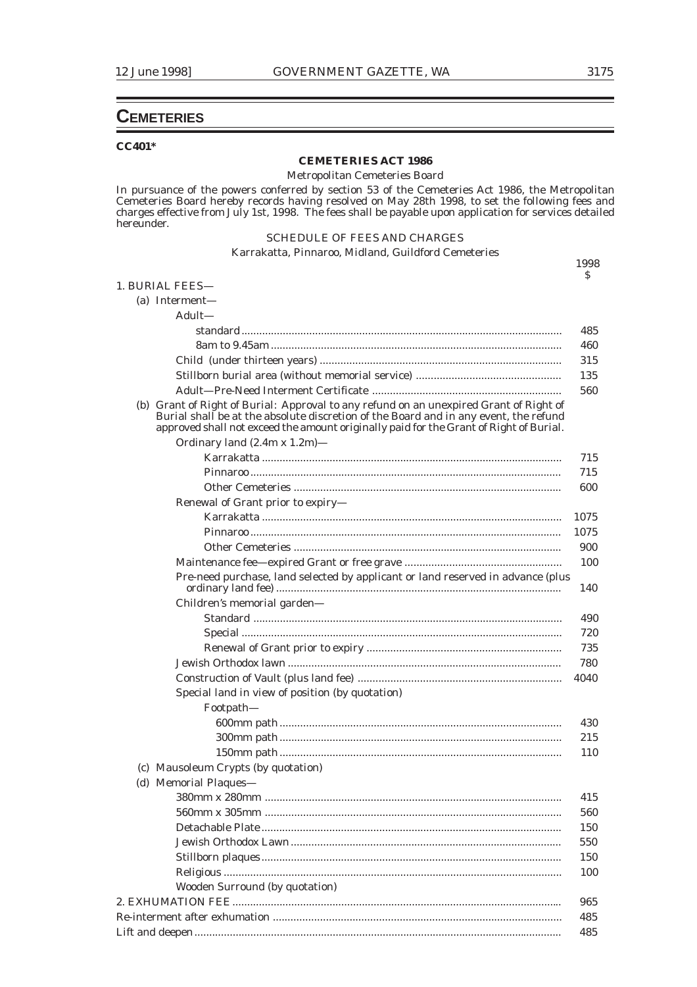\$

### **CEMETERIES**

### **CC401\***

### **CEMETERIES ACT 1986**

Metropolitan Cemeteries Board

In pursuance of the powers conferred by section 53 of the Cemeteries Act 1986, the Metropolitan Cemeteries Board hereby records having resolved on May 28th 1998, to set the following fees and charges effective from July 1st, 1998. The fees shall be payable upon application for services detailed hereunder.

### SCHEDULE OF FEES AND CHARGES

### Karrakatta, Pinnaroo, Midland, Guildford Cemeteries 1998 1. BURIAL FEES— (a) Interment— Adult standard ............................................................................................................. 485 8am to 9.45am ................................................................................................... 460 Child (under thirteen years) .................................................................................. 315 Stillborn burial area (without memorial service) ................................................. 135 Adult—Pre-Need Interment Certificate ................................................................ 560 (b) Grant of Right of Burial: Approval to any refund on an unexpired Grant of Right of Burial shall be at the absolute discretion of the Board and in any event, the refund approved shall not exceed the amount originally paid for the Grant of Right of Burial. Ordinary land (2.4m x 1.2m)— Karrakatta ...................................................................................................... 715 Pinnaroo .......................................................................................................... 715 Other Cemeteries ........................................................................................... 600 Renewal of Grant prior to expiry—

| Renewal of Grant prior to expiry-                                               |      |
|---------------------------------------------------------------------------------|------|
|                                                                                 | 1075 |
|                                                                                 | 1075 |
|                                                                                 | 900  |
|                                                                                 | 100  |
| Pre-need purchase, land selected by applicant or land reserved in advance (plus | 140  |
| Children's memorial garden-                                                     |      |
|                                                                                 | 490  |
|                                                                                 | 720  |
|                                                                                 | 735  |
|                                                                                 | 780  |
|                                                                                 | 4040 |
| Special land in view of position (by quotation)                                 |      |
| Footpath-                                                                       |      |
|                                                                                 | 430  |
|                                                                                 | 215  |
|                                                                                 | 110  |
| (c) Mausoleum Crypts (by quotation)                                             |      |
| (d) Memorial Plaques-                                                           |      |
|                                                                                 | 415  |
|                                                                                 | 560  |
|                                                                                 | 150  |
|                                                                                 | 550  |
|                                                                                 | 150  |
|                                                                                 | 100  |
| Wooden Surround (by quotation)                                                  |      |
|                                                                                 | 965  |
|                                                                                 | 485  |

Lift and deepen............................................................................................................................. 485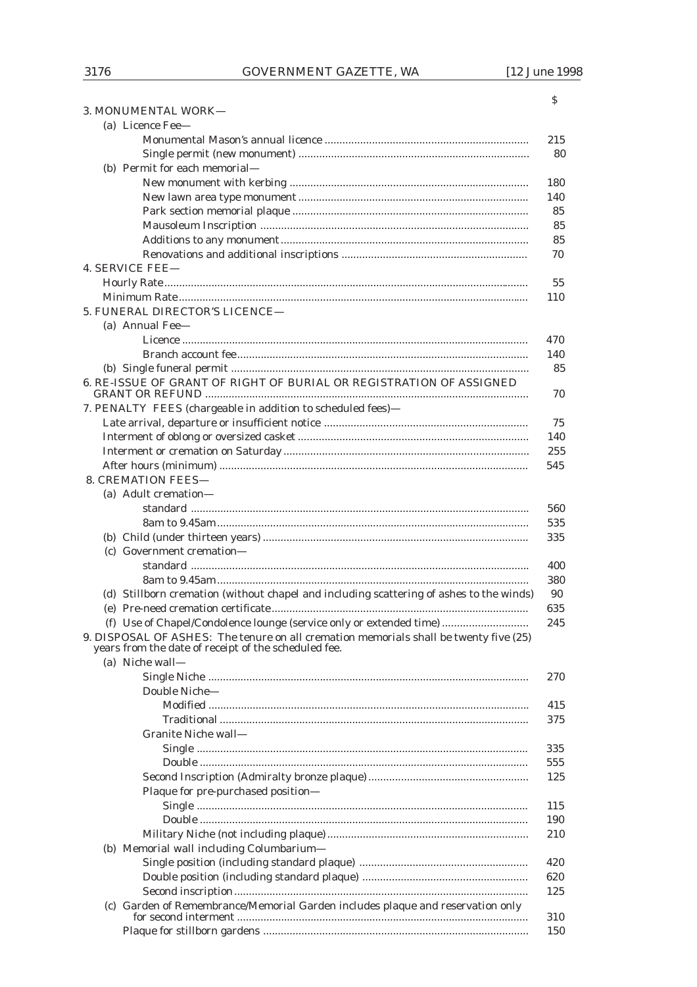| (a) Licence Fee-                                                                        |
|-----------------------------------------------------------------------------------------|
| 215                                                                                     |
|                                                                                         |
| (b) Permit for each memorial-                                                           |
| 180                                                                                     |
| 140                                                                                     |
|                                                                                         |
|                                                                                         |
|                                                                                         |
|                                                                                         |
| <b>4. SERVICE FEE-</b>                                                                  |
|                                                                                         |
| 110                                                                                     |
| 5. FUNERAL DIRECTOR'S LICENCE-                                                          |
| (a) Annual Fee-                                                                         |
| 470                                                                                     |
| 140                                                                                     |
|                                                                                         |
| 6. RE-ISSUE OF GRANT OF RIGHT OF BURIAL OR REGISTRATION OF ASSIGNED                     |
|                                                                                         |
| 7. PENALTY FEES (chargeable in addition to scheduled fees)-                             |
|                                                                                         |
|                                                                                         |
| 255                                                                                     |
| 545                                                                                     |
| <b>8. CREMATION FEES-</b>                                                               |
| (a) Adult cremation-                                                                    |
| 560                                                                                     |
| 535                                                                                     |
| 335                                                                                     |
| (c) Government cremation-                                                               |
| 400                                                                                     |
| 380                                                                                     |
| (d) Stillborn cremation (without chapel and including scattering of ashes to the winds) |
| 635                                                                                     |
| (f) Use of Chapel/Condolence lounge (service only or extended time)<br>245              |
| 9. DISPOSAL OF ASHES: The tenure on all cremation memorials shall be twenty five (25)   |
| years from the date of receipt of the scheduled fee.                                    |
| (a) Niche wall-                                                                         |
| 270                                                                                     |
| Double Niche-                                                                           |
| 415                                                                                     |
| 375                                                                                     |
| Granite Niche wall-                                                                     |
| 335                                                                                     |
| 555                                                                                     |
| 125                                                                                     |
| Plaque for pre-purchased position-                                                      |
| 115                                                                                     |
| 190                                                                                     |
| 210                                                                                     |
| (b) Memorial wall including Columbarium-                                                |
| 420                                                                                     |
| 620                                                                                     |
| 125                                                                                     |
| (c) Garden of Remembrance/Memorial Garden includes plaque and reservation only          |
| 310                                                                                     |

3. MONUMENTAL WORK-

 $\mathsf S$ 

150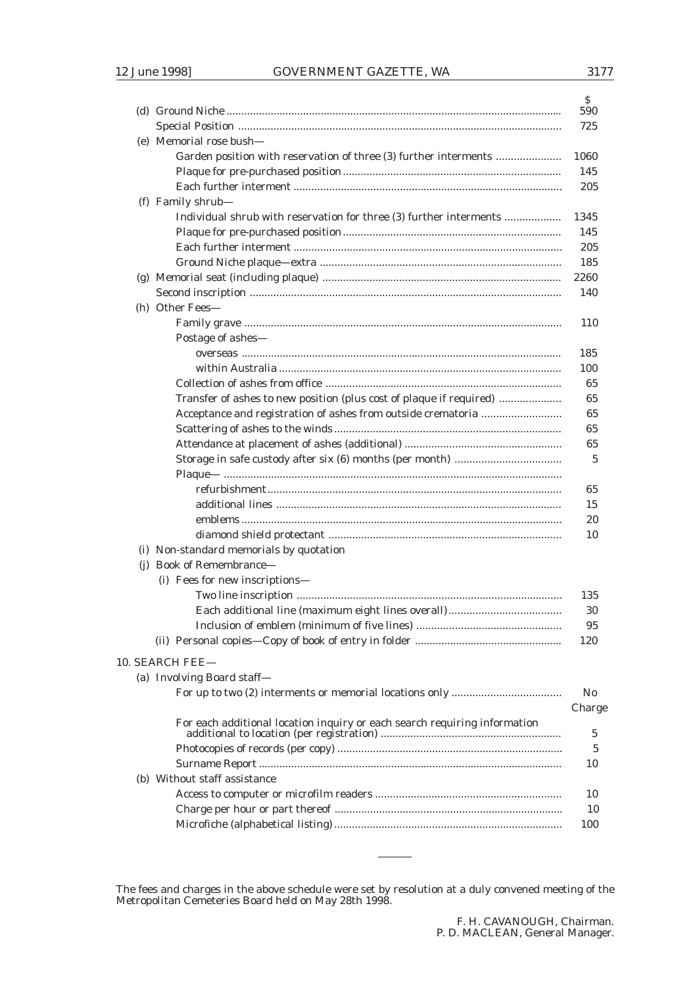|     |                                                                           | S.<br>590      |
|-----|---------------------------------------------------------------------------|----------------|
|     |                                                                           | 725            |
|     | (e) Memorial rose bush-                                                   |                |
|     | Garden position with reservation of three (3) further interments          | 1060           |
|     |                                                                           | 145            |
|     |                                                                           | 205            |
|     | (f) Family shrub-                                                         |                |
|     | Individual shrub with reservation for three (3) further interments        | 1345           |
|     |                                                                           | 145            |
|     |                                                                           | 205            |
|     |                                                                           | 185            |
|     |                                                                           | 2260           |
|     |                                                                           | 140            |
|     | (h) Other Fees-                                                           |                |
|     |                                                                           | 110            |
|     |                                                                           |                |
|     | Postage of ashes-                                                         |                |
|     |                                                                           | 185            |
|     |                                                                           | 100            |
|     |                                                                           | 65             |
|     | Transfer of ashes to new position (plus cost of plaque if required)       | 65             |
|     | Acceptance and registration of ashes from outside crematoria              | 65             |
|     |                                                                           | 65             |
|     |                                                                           | 65             |
|     |                                                                           | 5              |
|     |                                                                           |                |
|     |                                                                           | 65             |
|     |                                                                           | 15             |
|     |                                                                           | 20             |
|     |                                                                           | 10             |
|     | (i) Non-standard memorials by quotation                                   |                |
| (i) | <b>Book of Remembrance-</b>                                               |                |
|     | (i) Fees for new inscriptions-                                            |                |
|     |                                                                           | 135            |
|     |                                                                           | 30             |
|     |                                                                           | 95             |
|     |                                                                           | 120            |
|     | 10. SEARCH FEE-                                                           |                |
|     | (a) Involving Board staff-                                                |                |
|     |                                                                           | N <sub>0</sub> |
|     |                                                                           | Charge         |
|     | For each additional location inquiry or each search requiring information |                |
|     |                                                                           | 5              |
|     |                                                                           | 5              |
|     |                                                                           | 10             |
|     | (b) Without staff assistance                                              |                |
|     |                                                                           | 10             |
|     |                                                                           | 10             |
|     |                                                                           | 100            |
|     |                                                                           |                |

The fees and charges in the above schedule were set by resolution at a duly convened meeting of the Metropolitan Cemeteries Board held on May 28th 1998.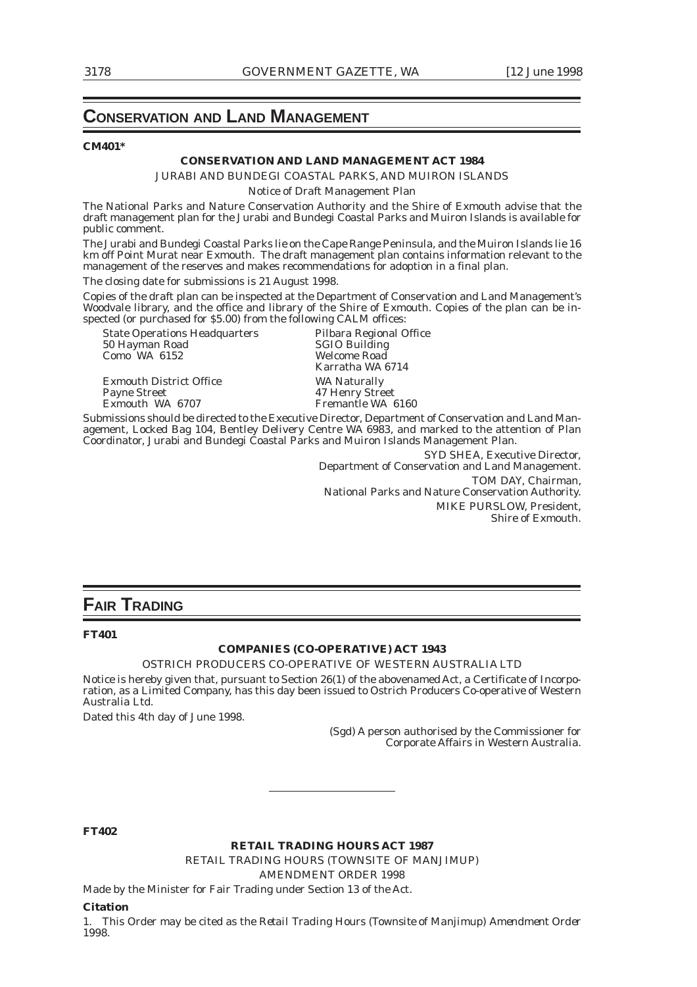### **CONSERVATION AND LAND MANAGEMENT**

### **CM401\***

### **CONSERVATION AND LAND MANAGEMENT ACT 1984**

JURABI AND BUNDEGI COASTAL PARKS, AND MUIRON ISLANDS

Notice of Draft Management Plan

The National Parks and Nature Conservation Authority and the Shire of Exmouth advise that the draft management plan for the Jurabi and Bundegi Coastal Parks and Muiron Islands is available for public comment.

The Jurabi and Bundegi Coastal Parks lie on the Cape Range Peninsula, and the Muiron Islands lie 16 km off Point Murat near Exmouth. The draft management plan contains information relevant to the management of the reserves and makes recommendations for adoption in a final plan.

The closing date for submissions is 21 August 1998.

Copies of the draft plan can be inspected at the Department of Conservation and Land Management's Woodvale library, and the office and library of the Shire of Exmouth. Copies of the plan can be inspected (or purchased for \$5.00) from the following CALM offices:

State Operations Headquarters Pilbara Regional Office<br>50 Hayman Road SGIO Building 50 Hayman Road SGIO Building Como WA 6152 Welcome Road

Exmouth District Office WA Naturally<br>
Payne Street 47 Henry Stre Payne Street 47 Henry Street<br>Exmouth WA 6707 Fremantle WA

Karratha WA 6714 Fremantle WA 6160

Submissions should be directed to the Executive Director, Department of Conservation and Land Management, Locked Bag 104, Bentley Delivery Centre WA 6983, and marked to the attention of Plan Coordinator, Jurabi and Bundegi Coastal Parks and Muiron Islands Management Plan.

SYD SHEA, Executive Director, Department of Conservation and Land Management. TOM DAY, Chairman, National Parks and Nature Conservation Authority. MIKE PURSLOW, President, Shire of Exmouth.

### **FAIR TRADING**

### **FT401**

### **COMPANIES (CO-OPERATIVE) ACT 1943**

### OSTRICH PRODUCERS CO-OPERATIVE OF WESTERN AUSTRALIA LTD

Notice is hereby given that, pursuant to Section 26(1) of the abovenamed Act, a Certificate of Incorporation, as a Limited Company, has this day been issued to Ostrich Producers Co-operative of Western Australia Ltd.

Dated this 4th day of June 1998.

(Sgd) A person authorised by the Commissioner for Corporate Affairs in Western Australia.

**FT402**

**RETAIL TRADING HOURS ACT 1987**

RETAIL TRADING HOURS (TOWNSITE OF MANJIMUP)

AMENDMENT ORDER 1998

Made by the Minister for Fair Trading under Section 13 of the Act.

#### **Citation**

1. This Order may be cited as the *Retail Trading Hours (Townsite of Manjimup) Amendment Order 1998.*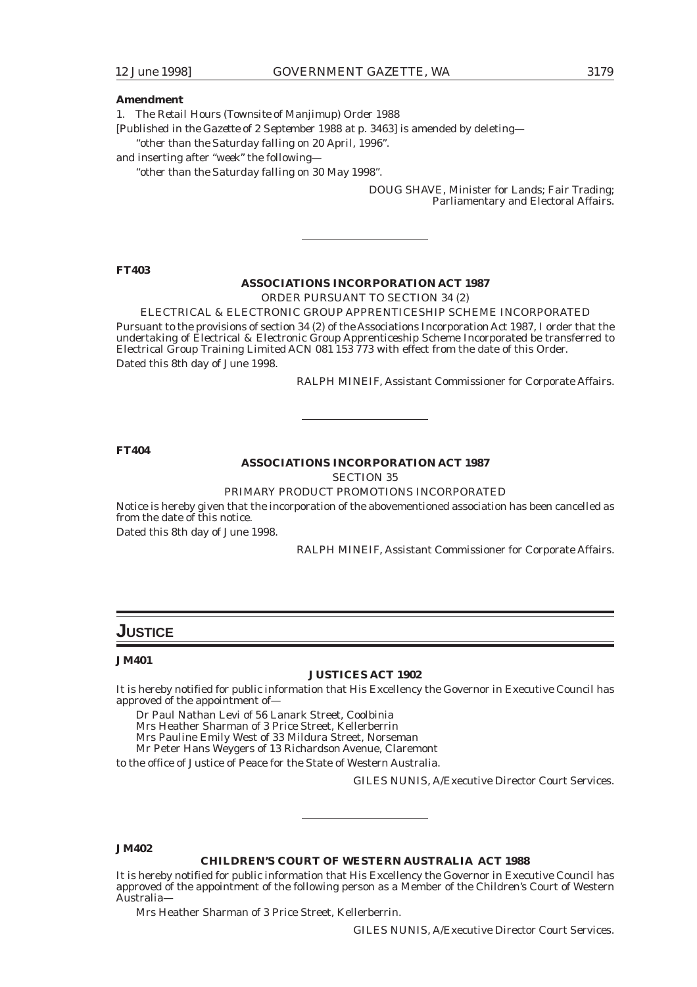### **Amendment**

1. The *Retail Hours (Townsite of Manjimup) Order 1988*

[*Published in the Gazette of 2 September 1988 at p. 3463*] is amended by deleting—

"*other than the Saturday falling on 20 April, 1996*".

and inserting after "*week*" the following—

"*other than the Saturday falling on 30 May 1998*".

DOUG SHAVE, Minister for Lands; Fair Trading; Parliamentary and Electoral Affairs.

**FT403**

### **ASSOCIATIONS INCORPORATION ACT 1987**

ORDER PURSUANT TO SECTION 34 (2)

ELECTRICAL & ELECTRONIC GROUP APPRENTICESHIP SCHEME INCORPORATED Pursuant to the provisions of section 34 (2) of the Associations Incorporation Act 1987, I order that the undertaking of Electrical & Electronic Group Apprenticeship Scheme Incorporated be transferred to Electrical Group Training Limited ACN 081 153 773 with effect from the date of this Order. Dated this 8th day of June 1998.

RALPH MINEIF, Assistant Commissioner for Corporate Affairs.

**FT404**

### **ASSOCIATIONS INCORPORATION ACT 1987**

SECTION 35

### PRIMARY PRODUCT PROMOTIONS INCORPORATED

Notice is hereby given that the incorporation of the abovementioned association has been cancelled as from the date of this notice.

Dated this 8th day of June 1998.

RALPH MINEIF, Assistant Commissioner for Corporate Affairs.

### **JUSTICE**

### **JM401**

### **JUSTICES ACT 1902**

It is hereby notified for public information that His Excellency the Governor in Executive Council has approved of the appointment of—

Dr Paul Nathan Levi of 56 Lanark Street, Coolbinia

Mrs Heather Sharman of 3 Price Street, Kellerberrin

Mrs Pauline Emily West of 33 Mildura Street, Norseman

Mr Peter Hans Weygers of 13 Richardson Avenue, Claremont

to the office of Justice of Peace for the State of Western Australia.

GILES NUNIS, A/Executive Director Court Services.

### **JM402**

#### **CHILDREN'S COURT OF WESTERN AUSTRALIA ACT 1988**

It is hereby notified for public information that His Excellency the Governor in Executive Council has approved of the appointment of the following person as a Member of the Children's Court of Western Australia—

Mrs Heather Sharman of 3 Price Street, Kellerberrin.

GILES NUNIS, A/Executive Director Court Services.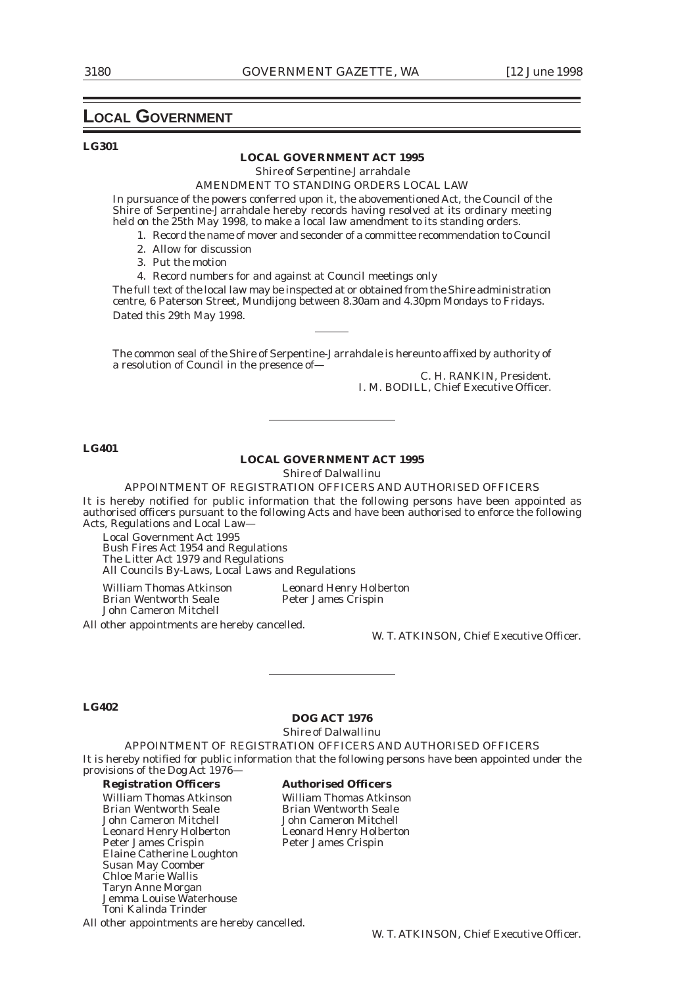### **LOCAL GOVERNMENT**

### **LG301**

#### **LOCAL GOVERNMENT ACT 1995**

*Shire of Serpentine-Jarrahdale*

### AMENDMENT TO STANDlNG ORDERS LOCAL LAW

In pursuance of the powers conferred upon it, the abovementioned Act, the Council of the Shire of Serpentine-Jarrahdale hereby records having resolved at its ordinary meeting held on the 25th May 1998, to make a local law amendment to its standing orders.

- 1. Record the name of mover and seconder of a committee recommendation to Council
- 2. Allow for discussion
- 3. Put the motion

4. Record numbers for and against at Council meetings only

The full text of the local law may be inspected at or obtained from the Shire administration centre, 6 Paterson Street, Mundijong between 8.30am and 4.30pm Mondays to Fridays. Dated this 29th May 1998.

The common seal of the Shire of Serpentine-Jarrahdale is hereunto affixed by authority of a resolution of Council in the presence of—

C. H. RANKIN, President. I. M. BODILL, Chief Executive Officer.

### **LG401**

### **LOCAL GOVERNMENT ACT 1995**

*Shire of Dalwallinu*

APPOINTMENT OF REGISTRATION OFFICERS AND AUTHORISED OFFICERS It is hereby notified for public information that the following persons have been appointed as authorised officers pursuant to the following Acts and have been authorised to enforce the following Acts, Regulations and Local Law—

Local Government Act 1995

Bush Fires Act 1954 and Regulations The Litter Act 1979 and Regulations All Councils By-Laws, Local Laws and Regulations

Brian Wentworth Seale John Cameron Mitchell

William Thomas Atkinson<br>
Brian Wentworth Seale<br>
Peter James Crispin

All other appointments are hereby cancelled.

W. T. ATKINSON, Chief Executive Officer.

#### **LG402**

### **DOG ACT 1976**

*Shire of Dalwallinu*

APPOINTMENT OF REGISTRATION OFFICERS AND AUTHORISED OFFICERS It is hereby notified for public information that the following persons have been appointed under the provisions of the Dog Act 1976—

#### **Registration Officers Authorised Officers**

William Thomas Atkinson<br>Brian Wentworth Seale Brian Wentworth Seale Brian Wentworth Seale<br> **Brian Wentworth Seale**<br> **Brian Wentworth Seale**<br> **Brian Wentworth Seale**<br> **Brian Wentworth Seale** John Cameron Mitchell John Cameron Mitchell Leonard Henry Holberton<br>Peter James Crispin Elaine Catherine Loughton Susan May Coomber Chloe Marie Wallis Taryn Anne Morgan Jemma Louise Waterhouse Toni Kalinda Trinder

All other appointments are hereby cancelled.

Peter James Crispin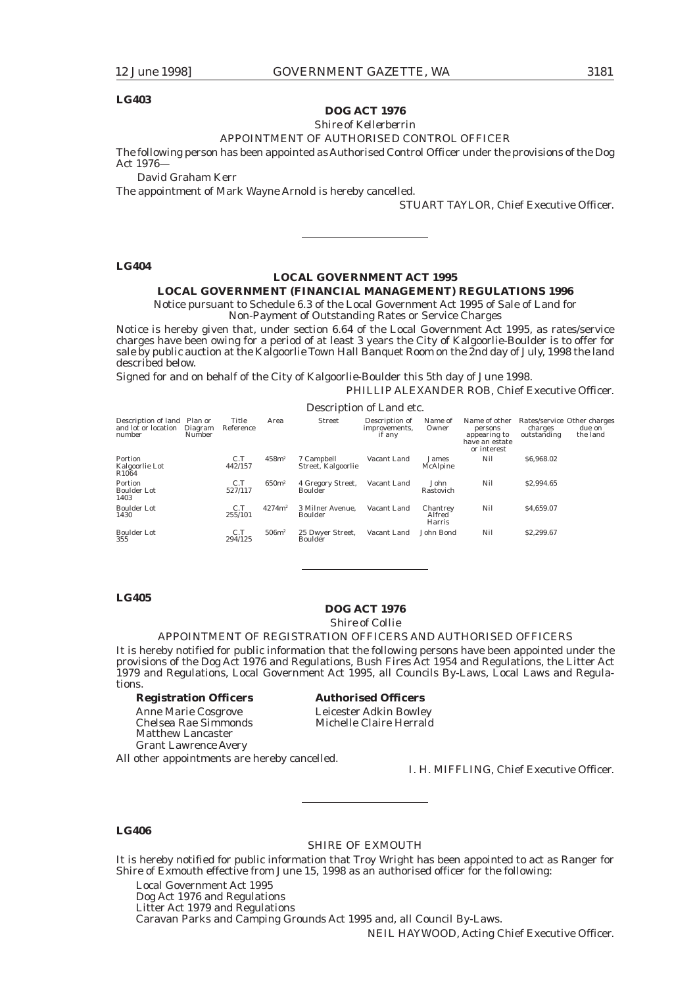### **LG403**

### **DOG ACT 1976**

*Shire of Kellerberrin*

### APPOINTMENT OF AUTHORISED CONTROL OFFICER

The following person has been appointed as Authorised Control Officer under the provisions of the Dog Act 1976—

David Graham Kerr

The appointment of Mark Wayne Arnold is hereby cancelled.

STUART TAYLOR, Chief Executive Officer.

#### **LG404**

### **LOCAL GOVERNMENT ACT 1995**

### **LOCAL GOVERNMENT (FINANCIAL MANAGEMENT) REGULATIONS 1996**

Notice pursuant to Schedule 6.3 of the Local Government Act 1995 of Sale of Land for Non-Payment of Outstanding Rates or Service Charges

Notice is hereby given that, under section 6.64 of the Local Government Act 1995, as rates/service charges have been owing for a period of at least 3 years the City of Kalgoorlie-Boulder is to offer for

sale by public auction at the Kalgoorlie Town Hall Banquet Room on the 2nd day of July, 1998 the land described below.

Signed for and on behalf of the City of Kalgoorlie-Boulder this 5th day of June 1998.

PHILLIP ALEXANDER ROB, Chief Executive Officer.

|                                                              |                   |                    |                   |                                  | Description of Land etc.                  |                              |                                                                           |                        |                                                   |
|--------------------------------------------------------------|-------------------|--------------------|-------------------|----------------------------------|-------------------------------------------|------------------------------|---------------------------------------------------------------------------|------------------------|---------------------------------------------------|
| Description of land Plan or<br>and lot or location<br>number | Diagram<br>Number | Title<br>Reference | Area              | <b>Street</b>                    | Description of<br>improvements,<br>if any | Name of<br>Owner             | Name of other<br>persons<br>appearing to<br>have an estate<br>or interest | charges<br>outstanding | Rates/service Other charges<br>due on<br>the land |
| Portion<br>Kalgoorlie Lot<br>R <sub>1064</sub>               |                   | C.T<br>442/157     | 458m <sup>2</sup> | 7 Campbell<br>Street, Kalgoorlie | Vacant Land                               | James<br>McAlpine            | Nil                                                                       | \$6,968.02             |                                                   |
| Portion<br><b>Boulder Lot</b><br>1403                        |                   | C.T<br>527/117     | 650m <sup>2</sup> | 4 Gregory Street,<br>Boulder     | Vacant Land                               | John<br>Rastovich            | Nil                                                                       | \$2,994.65             |                                                   |
| <b>Boulder Lot</b><br>1430                                   |                   | C.T<br>255/101     | $4274m^2$         | 3 Milner Avenue.<br>Boulder      | Vacant Land                               | Chantrey<br>Alfred<br>Harris | Nil                                                                       | \$4.659.07             |                                                   |
| <b>Boulder Lot</b><br>355                                    |                   | C.T<br>294/125     | 506m <sup>2</sup> | 25 Dwyer Street,<br>Boulder      | Vacant Land                               | John Bond                    | Nil                                                                       | \$2,299.67             |                                                   |

### **LG405**

### **DOG ACT 1976**

### *Shire of Collie*

### APPOINTMENT OF REGISTRATION OFFICERS AND AUTHORISED OFFICERS

It is hereby notified for public information that the following persons have been appointed under the provisions of the Dog Act 1976 and Regulations, Bush Fires Act 1954 and Regulations, the Litter Act 1979 and Regulations, Local Government Act 1995, all Councils By-Laws, Local Laws and Regulations.

Matthew Lancaster Grant Lawrence Avery All other appointments are hereby cancelled.

**Registration Officers Authorised Officers**

Anne Marie Cosgrove Leicester Adkin Bowley<br>
Chelsea Rae Simmonds Michelle Claire Herrald Michelle Claire Herrald

I. H. MIFFLING, Chief Executive Officer.

### **LC406**

### SHIRE OF EXMOUTH

It is hereby notified for public information that Troy Wright has been appointed to act as Ranger for Shire of Exmouth effective from June 15, 1998 as an authorised officer for the following:

Local Government Act 1995 Dog Act 1976 and Regulations Litter Act 1979 and Regulations Caravan Parks and Camping Grounds Act 1995 and, all Council By-Laws.

NEIL HAYWOOD, Acting Chief Executive Officer.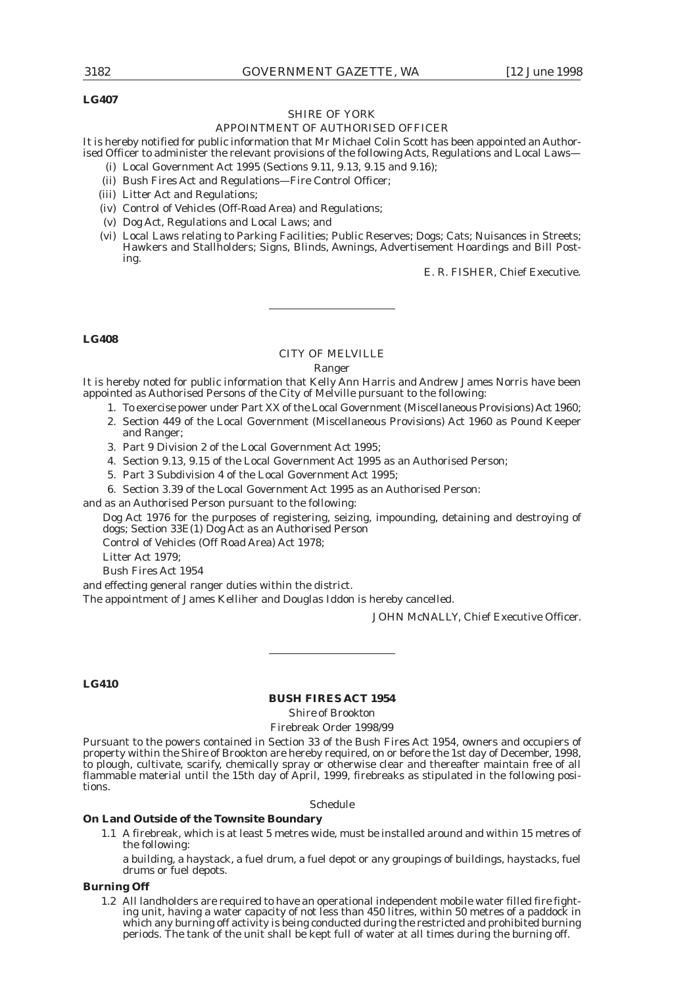### **LG407**

## SHIRE OF YORK

### APPOINTMENT OF AUTHORISED OFFICER

It is hereby notified for public information that Mr Michael Colin Scott has been appointed an Authorised Officer to administer the relevant provisions of the following Acts, Regulations and Local Laws—

- (i) Local Government Act 1995 (Sections 9.11, 9.13, 9.15 and 9.16);
- (ii) Bush Fires Act and Regulations—Fire Control Officer;
- (iii) Litter Act and Regulations;
- (iv) Control of Vehicles (Off-Road Area) and Regulations;
- (v) Dog Act, Regulations and Local Laws; and
- (vi) Local Laws relating to Parking Facilities; Public Reserves; Dogs; Cats; Nuisances in Streets; Hawkers and Stallholders; Signs, Blinds, Awnings, Advertisement Hoardings and Bill Posting.

E. R. FISHER, Chief Executive.

### **LG408**

### CITY OF MELVILLE

### Ranger

It is hereby noted for public information that Kelly Ann Harris and Andrew James Norris have been appointed as Authorised Persons of the City of Melville pursuant to the following:

- 1. To exercise power under Part XX of the Local Government (Miscellaneous Provisions) Act 1960;
- 2. Section 449 of the Local Government (Miscellaneous Provisions) Act 1960 as Pound Keeper and Ranger;
- 3. Part 9 Division 2 of the Local Government Act 1995;
- 4. Section 9.13, 9.15 of the Local Government Act 1995 as an Authorised Person;
- 5. Part 3 Subdivision 4 of the Local Government Act 1995;
- 6. Section 3.39 of the Local Government Act 1995 as an Authorised Person:

and as an Authorised Person pursuant to the following:

Dog Act 1976 for the purposes of registering, seizing, impounding, detaining and destroying of dogs; Section 33E(1) Dog Act as an Authorised Person

Control of Vehicles (Off Road Area) Act 1978;

Litter Act 1979;

Bush Fires Act 1954

and effecting general ranger duties within the district.

The appointment of James Kelliher and Douglas Iddon is hereby cancelled.

JOHN McNALLY, Chief Executive Officer.

### **LG410**

### **BUSH FIRES ACT 1954**

*Shire of Brookton*

Firebreak Order 1998/99

Pursuant to the powers contained in Section 33 of the Bush Fires Act 1954, owners and occupiers of property within the Shire of Brookton are hereby required, on or before the 1st day of December, 1998, to plough, cultivate, scarify, chemically spray or otherwise clear and thereafter maintain free of all flammable material until the 15th day of April, 1999, firebreaks as stipulated in the following positions.

Schedule

### **On Land Outside of the Townsite Boundary**

1.1 A firebreak, which is at least 5 metres wide, must be installed around and within 15 metres of the following:

a building, a haystack, a fuel drum, a fuel depot or any groupings of buildings, haystacks, fuel drums or fuel depots.

### **Burning Off**

1.2 All landholders are required to have an operational independent mobile water filled fire fighting unit, having a water capacity of not less than 450 litres, within 50 metres of a paddock in which any burning off activity is being conducted during the restricted and prohibited burning periods. The tank of the unit shall be kept full of water at all times during the burning off.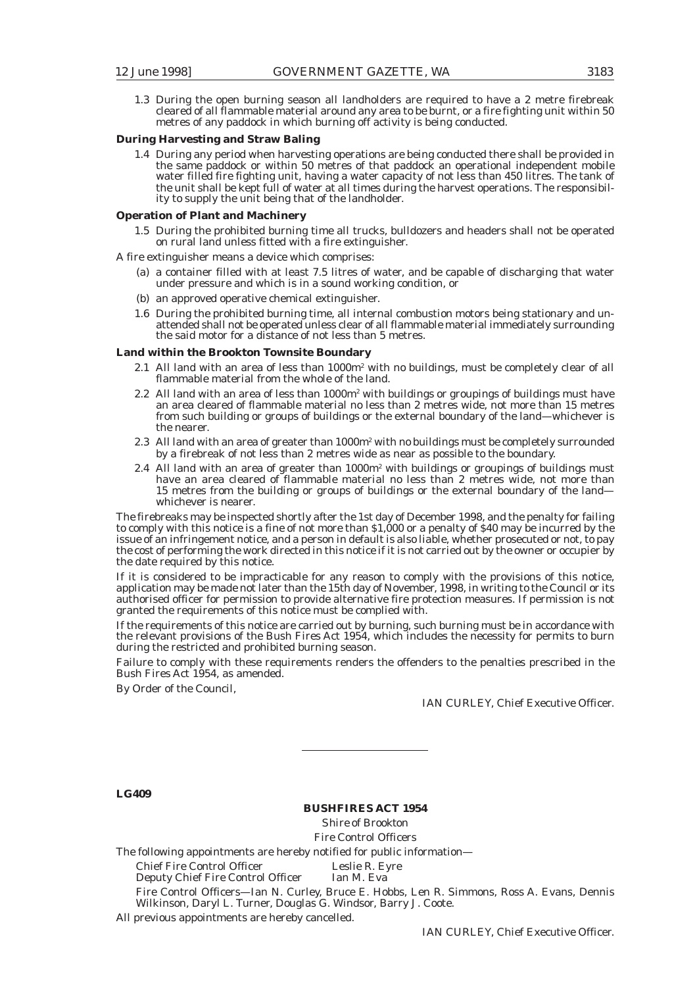1.3 During the open burning season all landholders are required to have a 2 metre firebreak cleared of all flammable material around any area to be burnt, or a fire fighting unit within 50 metres of any paddock in which burning off activity is being conducted.

### **During Harvesting and Straw Baling**

1.4 During any period when harvesting operations are being conducted there shall be provided in the same paddock or within 50 metres of that paddock an operational independent mobile water filled fire fighting unit, having a water capacity of not less than 450 litres. The tank of the unit shall be kept full of water at all times during the harvest operations. The responsibility to supply the unit being that of the landholder.

#### **Operation of Plant and Machinery**

1.5 During the prohibited burning time all trucks, bulldozers and headers shall not be operated on rural land unless fitted with a fire extinguisher.

A fire extinguisher means a device which comprises:

- (a) a container filled with at least 7.5 litres of water, and be capable of discharging that water under pressure and which is in a sound working condition, or
- (b) an approved operative chemical extinguisher.
- 1.6 During the prohibited burning time, all internal combustion motors being stationary and unattended shall not be operated unless clear of all flammable material immediately surrounding the said motor for a distance of not less than 5 metres.

### **Land within the Brookton Townsite Boundary**

- 2.1 All land with an area of less than  $1000m^2$  with no buildings, must be completely clear of all flammable material from the whole of the land.
- 2.2 All land with an area of less than  $1000m^2$  with buildings or groupings of buildings must have an area cleared of flammable material no less than 2 metres wide, not more than 15 metres from such building or groups of buildings or the external boundary of the land—whichever is the nearer.
- 2.3  $\,$  All land with an area of greater than 1000 $\mathrm{m}^{\mathrm{z}}$  with no buildings must be completely surrounded by a firebreak of not less than 2 metres wide as near as possible to the boundary.
- 2.4  $\,$  All land with an area of greater than 1000 $\mathrm{m}^2$  with buildings or groupings of buildings must have an area cleared of flammable material no less than 2 metres wide, not more than 15 metres from the building or groups of buildings or the external boundary of the land whichever is nearer.

The firebreaks may be inspected shortly after the 1st day of December 1998, and the penalty for failing to comply with this notice is a fine of not more than \$1,000 or a penalty of \$40 may be incurred by the issue of an infringement notice, and a person in default is also liable, whether prosecuted or not, to pay the cost of performing the work directed in this notice if it is not carried out by the owner or occupier by the date required by this notice.

If it is considered to be impracticable for any reason to comply with the provisions of this notice, application may be made not later than the 15th day of November, 1998, in writing to the Council or its authorised officer for permission to provide alternative fire protection measures. If permission is not granted the requirements of this notice must be complied with.

If the requirements of this notice are carried out by burning, such burning must be in accordance with the relevant provisions of the Bush Fires Act 1954, which includes the necessity for permits to burn during the restricted and prohibited burning season.

Failure to comply with these requirements renders the offenders to the penalties prescribed in the Bush Fires Act 1954, as amended.

By Order of the Council,

IAN CURLEY, Chief Executive Officer.

### **LC409**

### **BUSHFIRES ACT 1954**

*Shire of Brookton* Fire Control Officers

The following appointments are hereby notified for public information—

Chief Fire Control Officer Leslie R. Eyre<br>
Deputy Chief Fire Control Officer Ian M. Eva Deputy Chief Fire Control Officer

Fire Control Officers—Ian N. Curley, Bruce E. Hobbs, Len R. Simmons, Ross A. Evans, Dennis Wilkinson, Daryl L. Turner, Douglas G. Windsor, Barry J. Coote.

All previous appointments are hereby cancelled.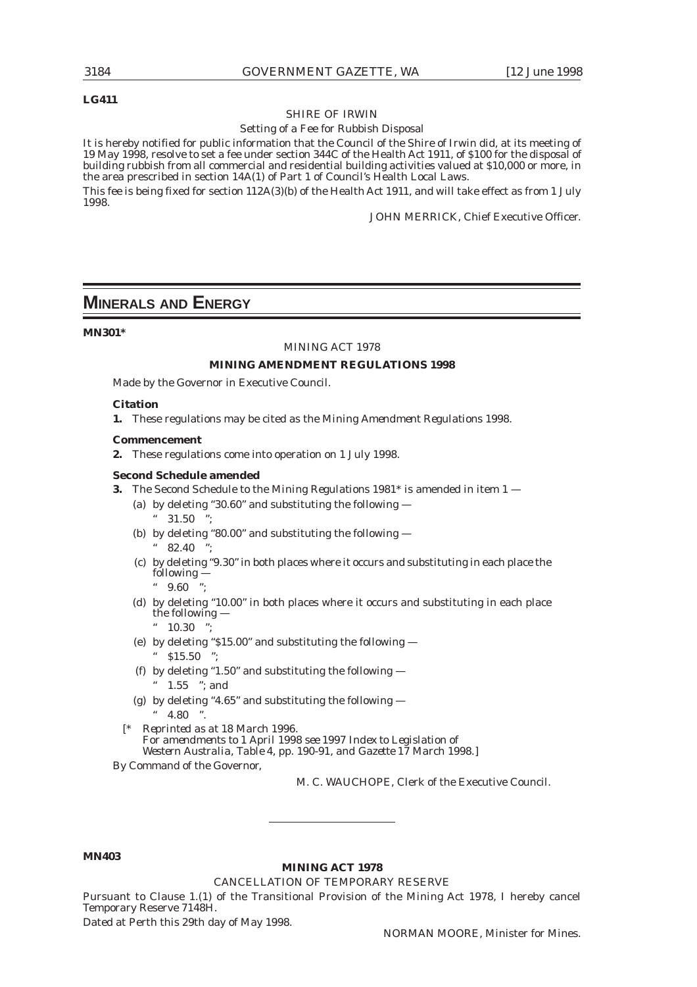### **LG411**

### SHIRE OF IRWIN

### Setting of a Fee for Rubbish Disposal

It is hereby notified for public information that the Council of the Shire of Irwin did, at its meeting of 19 May 1998, resolve to set a fee under section 344C of the Health Act 1911, of \$100 for the disposal of building rubbish from all commercial and residential building activities valued at \$10,000 or more, in the area prescribed in section 14A(1) of Part 1 of Council's Health Local Laws.

This fee is being fixed for section 112A(3)(b) of the Health Act 1911, and will take effect as from 1 July 1998.

JOHN MERRICK, Chief Executive Officer.

## **MINERALS AND ENERGY**

### **MN301\***

#### MINING ACT 1978

### **MINING AMENDMENT REGULATIONS 1998**

Made by the Governor in Executive Council.

### **Citation**

**1.** These regulations may be cited as the *Mining Amendment Regulations 1998*.

#### **Commencement**

**2.** These regulations come into operation on 1 July 1998.

### **Second Schedule amended**

- **3.** The Second Schedule to the *Mining Regulations 1981\** is amended in item 1
	- (a) by deleting "30.60" and substituting the following  $"31.50"$
	- (b) by deleting "80.00" and substituting the following  $82.40$
	- (c) by deleting "9.30" in both places where it occurs and substituting in each place the following —

 $"$  9.60

- (d) by deleting "10.00" in both places where it occurs and substituting in each place the following —
	- " 10.30 ";
- (e) by deleting "\$15.00" and substituting the following  $^{\circ}$  \$15.50  $^{\circ}$
- (f) by deleting "1.50" and substituting the following
	- " 1.55 "; and
- (g) by deleting "4.65" and substituting the following  $-$

[*\* Reprinted as at 18 March 1996. For amendments to 1 April 1998 see 1997 Index to Legislation of Western Australia, Table 4, pp. 190-91, and Gazette 17 March 1998.*]

By Command of the Governor,

M. C. WAUCHOPE, Clerk of the Executive Council.

### **MN403**

### **MINING ACT 1978**

CANCELLATION OF TEMPORARY RESERVE

Pursuant to Clause 1.(1) of the Transitional Provision of the Mining Act 1978, I hereby cancel Temporary Reserve 7148H.

Dated at Perth this 29th day of May 1998.

 $" 4.80"$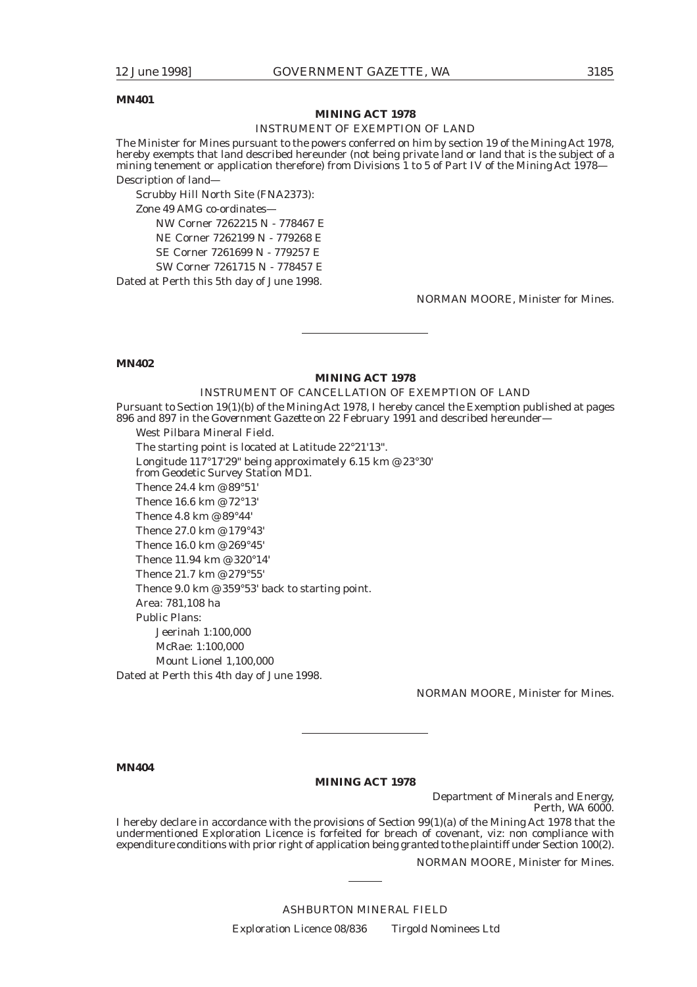### **MN401**

### **MINING ACT 1978**

### INSTRUMENT OF EXEMPTION OF LAND

The Minister for Mines pursuant to the powers conferred on him by section 19 of the Mining Act 1978, hereby exempts that land described hereunder (not being private land or land that is the subject of a mining tenement or application therefore) from Divisions 1 to 5 of Part IV of the Mining Act 1978— Description of land—

Scrubby Hill North Site (FNA2373): Zone 49 AMG co-ordinates— NW Corner 7262215 N - 778467 E NE Corner 7262199 N - 779268 E SE Corner 7261699 N - 779257 E SW Corner 7261715 N - 778457 E

Dated at Perth this 5th day of June 1998.

NORMAN MOORE, Minister for Mines.

**MN402**

### **MINING ACT 1978**

### INSTRUMENT OF CANCELLATION OF EXEMPTION OF LAND

Pursuant to Section 19(1)(b) of the Mining Act 1978, I hereby cancel the Exemption published at pages 896 and 897 in the *Government Gazette* on 22 February 1991 and described hereunder—

West Pilbara Mineral Field. The starting point is located at Latitude 22°21'13". Longitude 117°17'29" being approximately 6.15 km @ 23°30' from Geodetic Survey Station MD1. Thence 24.4 km @ 89°51' Thence 16.6 km @ 72°13' Thence 4.8 km @ 89°44' Thence 27.0 km @ 179°43' Thence 16.0 km @ 269°45' Thence 11.94 km @ 320°14' Thence 21.7 km @ 279°55' Thence 9.0 km @ 359°53' back to starting point. Area: 781,108 ha Public Plans: Jeerinah 1:100,000 McRae: 1:100,000 Mount Lionel 1,100,000 Dated at Perth this 4th day of June 1998.

NORMAN MOORE, Minister for Mines.

**MN404**

### **MINING ACT 1978**

Department of Minerals and Energy, Perth, WA 6000.

I hereby declare in accordance with the provisions of Section 99(1)(a) of the Mining Act 1978 that the undermentioned Exploration Licence is forfeited for breach of covenant, viz: non compliance with expenditure conditions with prior right of application being granted to the plaintiff under Section 100(2).

NORMAN MOORE, Minister for Mines.

ASHBURTON MINERAL FIELD Exploration Licence 08/836 Tirgold Nominees Ltd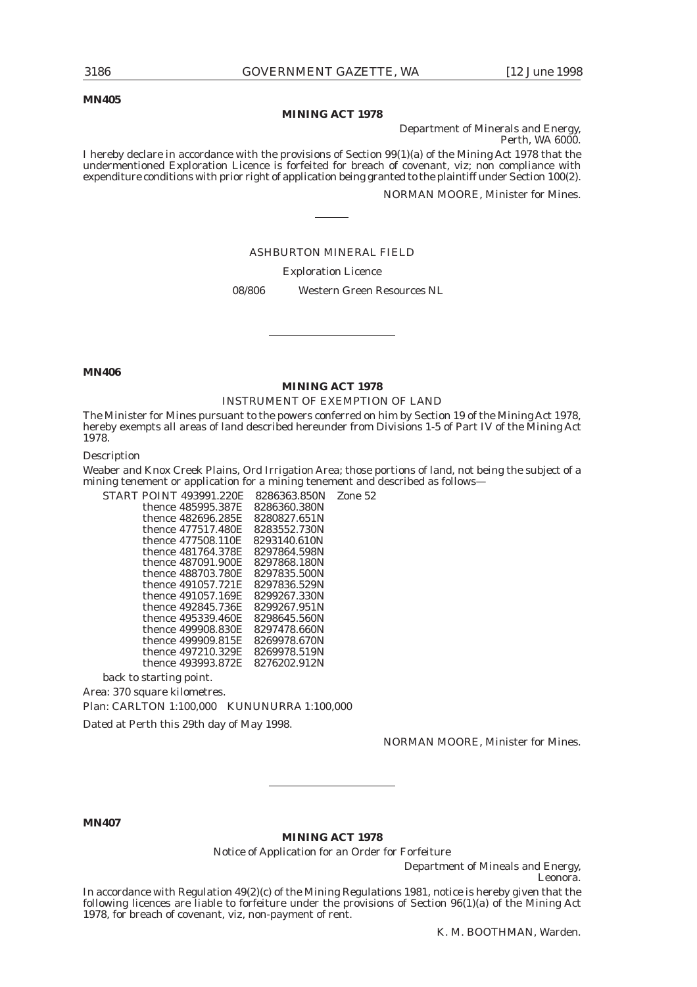**MN405**

#### **MINING ACT 1978**

Department of Minerals and Energy, Perth, WA 6000.

I hereby declare in accordance with the provisions of Section 99(1)(a) of the Mining Act 1978 that the undermentioned Exploration Licence is forfeited for breach of covenant, viz; non compliance with expenditure conditions with prior right of application being granted to the plaintiff under Section 100(2).

NORMAN MOORE, Minister for Mines.

### ASHBURTON MINERAL FIELD

Exploration Licence

08/806 Western Green Resources NL

**MN406**

### **MINING ACT 1978**

#### INSTRUMENT OF EXEMPTION OF LAND

The Minister for Mines pursuant to the powers conferred on him by Section 19 of the Mining Act 1978, hereby exempts all areas of land described hereunder from Divisions 1-5 of Part IV of the Mining Act 1978.

Description

Weaber and Knox Creek Plains, Ord Irrigation Area; those portions of land, not being the subject of a mining tenement or application for a mining tenement and described as follows—

START POINT 493991.220E 8286363.850N Zone 52 thence 485995.387E thence 482696.285E 8280827.651N<br>thence 477517.480E 8283552.730N thence 477517.480E 8283552.730N<br>thence 477508.110E 8293140.610N thence 477508.110E thence 481764.378E 8297864.598N<br>thence 487091.900E 8297868.180N thence 487091.900E 8297868.180N<br>thence 488703.780E 8297835.500N thence 488703.780E 8297835.500N<br>thence 491057.721E 8297836.529N thence 491057.721E 8297836.529N<br>thence 491057.169E 8299267.330N thence 491057.169E thence 492845.736E 8299267.951N thence 495339.460E 8298645.560N thence 499908.830E 8297478.660N<br>thence 499909.815E 8269978.670N thence 499909.815E 8269978.670N<br>thence 497210.329E 8269978.519N thence 497210.329E thence 493993.872E 8276202.912N

back to starting point.

Area: 370 square kilometres.

Plan: CARLTON 1:100,000 KUNUNURRA 1:100,000

Dated at Perth this 29th day of May 1998.

NORMAN MOORE, Minister for Mines.

**MN407**

**MINING ACT 1978**

Notice of Application for an Order for Forfeiture

Department of Mineals and Energy, Leonora.

In accordance with Regulation 49(2)(c) of the Mining Regulations 1981, notice is hereby given that the following licences are liable to forfeiture under the provisions of Section 96(1)(a) of the Mining Act 1978, for breach of covenant, viz, non-payment of rent.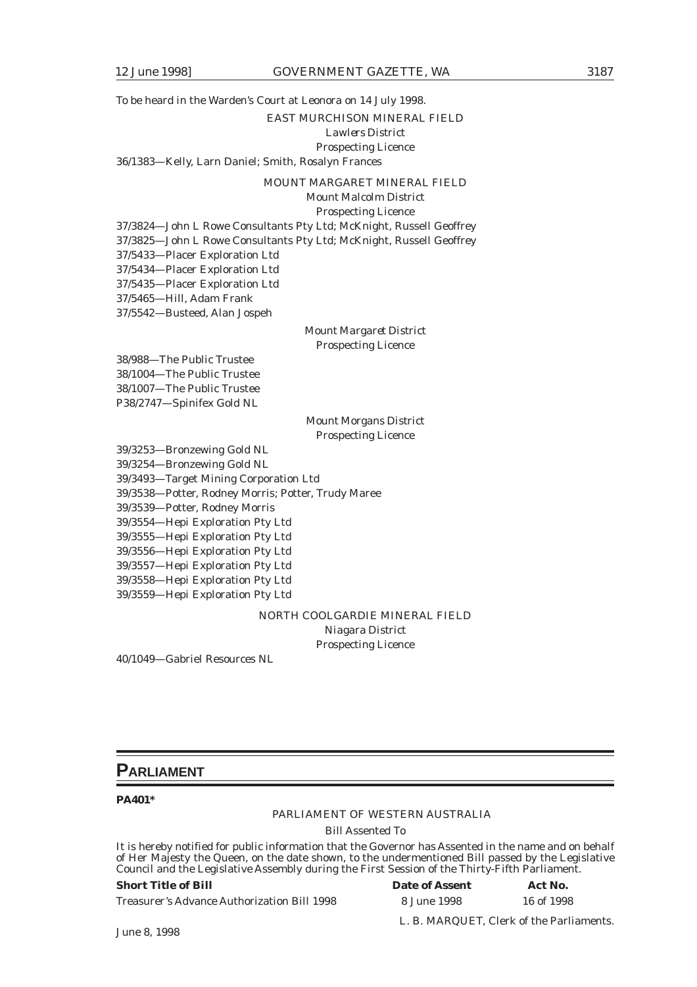To be heard in the Warden's Court at Leonora on 14 July 1998. EAST MURCHISON MINERAL FIELD *Lawlers District* Prospecting Licence 36/1383—Kelly, Larn Daniel; Smith, Rosalyn Frances

MOUNT MARGARET MINERAL FIELD

*Mount Malcolm District* Prospecting Licence

37/3824—John L Rowe Consultants Pty Ltd; McKnight, Russell Geoffrey 37/3825—John L Rowe Consultants Pty Ltd; McKnight, Russell Geoffrey 37/5433—Placer Exploration Ltd 37/5434—Placer Exploration Ltd 37/5435—Placer Exploration Ltd 37/5465—Hill, Adam Frank 37/5542—Busteed, Alan Jospeh *Mount Margaret District* Prospecting Licence 38/988—The Public Trustee 38/1004—The Public Trustee 38/1007—The Public Trustee P38/2747—Spinifex Gold NL *Mount Morgans District* Prospecting Licence 39/3253—Bronzewing Gold NL 39/3254—Bronzewing Gold NL 39/3493—Target Mining Corporation Ltd

39/3538—Potter, Rodney Morris; Potter, Trudy Maree

39/3539—Potter, Rodney Morris

39/3554—Hepi Exploration Pty Ltd

39/3555—Hepi Exploration Pty Ltd

39/3556—Hepi Exploration Pty Ltd

39/3557—Hepi Exploration Pty Ltd

39/3558—Hepi Exploration Pty Ltd

39/3559—Hepi Exploration Pty Ltd

NORTH COOLGARDIE MINERAL FIELD

*Niagara District* Prospecting Licence

40/1049—Gabriel Resources NL

### **PARLIAMENT**

### **PA401\***

### PARLIAMENT OF WESTERN AUSTRALIA

Bill Assented To

It is hereby notified for public information that the Governor has Assented in the name and on behalf of Her Majesty the Queen, on the date shown, to the undermentioned Bill passed by the Legislative Council and the Legislative Assembly during the First Session of the Thirty-Fifth Parliament.

### **Short Title of Bill Date of Assembly Date Act No. 2. I**

Treasurer's Advance Authorization Bill 1998

| <b>Date of Assent</b> | Act No.    |  |  |
|-----------------------|------------|--|--|
| 8 June 1998           | 16 of 1998 |  |  |

L. B. MARQUET, Clerk of the Parliaments.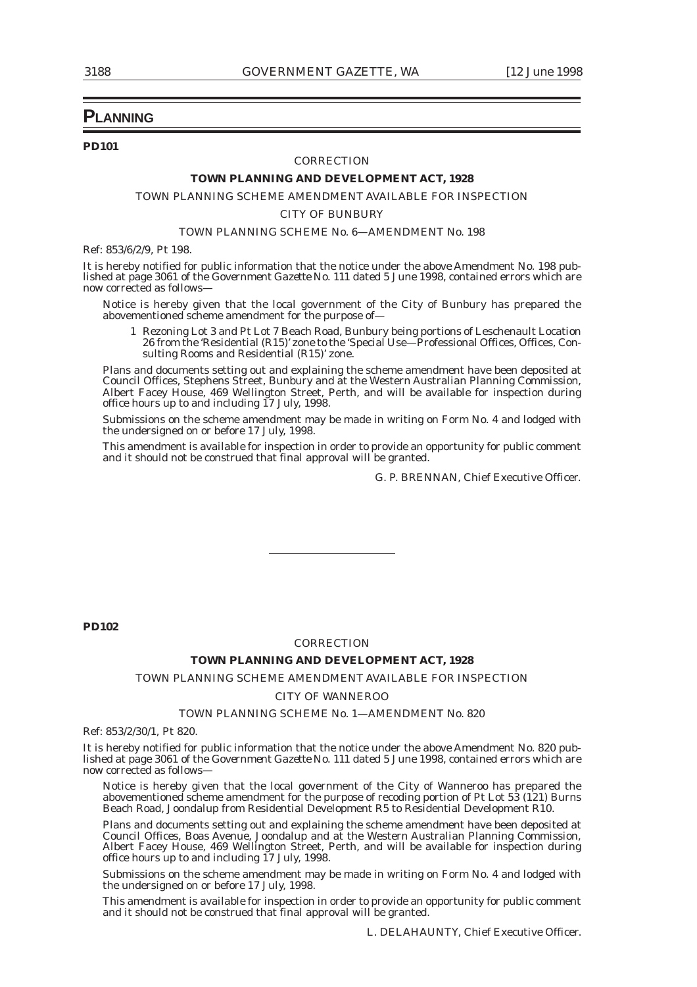### **PLANNING**

### **PD101**

#### *CORRECTION*

### **TOWN PLANNING AND DEVELOPMENT ACT, 1928**

### TOWN PLANNING SCHEME AMENDMENT AVAILABLE FOR INSPECTION

*CITY OF BUNBURY*

#### TOWN PLANNING SCHEME No. 6—AMENDMENT No. 198

Ref: 853/6/2/9, Pt 198.

It is hereby notified for public information that the notice under the above Amendment No. 198 published at page 3061 of the *Government Gazette* No. 111 dated 5 June 1998, contained errors which are now corrected as follows—

Notice is hereby given that the local government of the City of Bunbury has prepared the abovementioned scheme amendment for the purpose of—

1 Rezoning Lot 3 and Pt Lot 7 Beach Road, Bunbury being portions of Leschenault Location 26 from the 'Residential (R15)' zone to the 'Special Use—Professional Offices, Offices, Consulting Rooms and Residential (R15)' zone.

Plans and documents setting out and explaining the scheme amendment have been deposited at Council Offices, Stephens Street, Bunbury and at the Western Australian Planning Commission, Albert Facey House, 469 Wellington Street, Perth, and will be available for inspection during office hours up to and including  $17$  July, 1998.

Submissions on the scheme amendment may be made in writing on Form No. 4 and lodged with the undersigned on or before 17 July, 1998.

This amendment is available for inspection in order to provide an opportunity for public comment and it should not be construed that final approval will be granted.

G. P. BRENNAN, Chief Executive Officer.

**PD102**

### *CORRECTION*

### **TOWN PLANNING AND DEVELOPMENT ACT, 1928**

### TOWN PLANNING SCHEME AMENDMENT AVAILABLE FOR INSPECTION

#### *CITY OF WANNEROO*

### TOWN PLANNING SCHEME No. 1—AMENDMENT No. 820

Ref: 853/2/30/1, Pt 820.

It is hereby notified for public information that the notice under the above Amendment No. 820 published at page 3061 of the *Government Gazette* No. 111 dated 5 June 1998, contained errors which are now corrected as follows—

Notice is hereby given that the local government of the City of Wanneroo has prepared the abovementioned scheme amendment for the purpose of recoding portion of Pt Lot 53 (121) Burns Beach Road, Joondalup from Residential Development R5 to Residential Development R10.

Plans and documents setting out and explaining the scheme amendment have been deposited at Council Offices, Boas Avenue, Joondalup and at the Western Australian Planning Commission, Albert Facey House, 469 Wellington Street, Perth, and will be available for inspection during office hours up to and including 17 July, 1998.

Submissions on the scheme amendment may be made in writing on Form No. 4 and lodged with the undersigned on or before 17 July, 1998.

This amendment is available for inspection in order to provide an opportunity for public comment and it should not be construed that final approval will be granted.

L. DELAHAUNTY, Chief Executive Officer.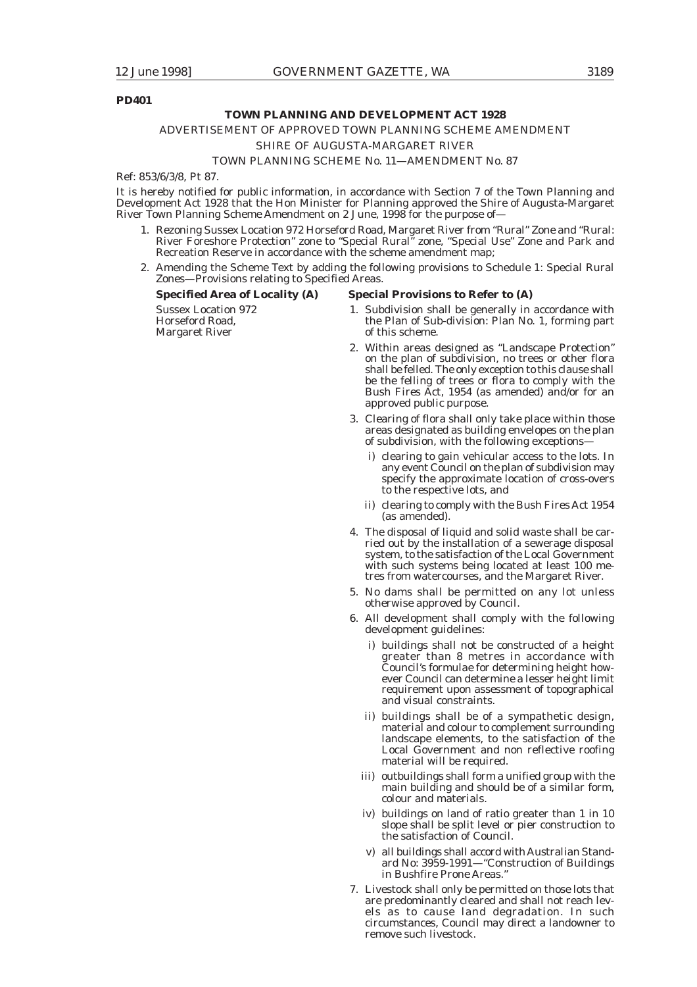### **PD401**

### **TOWN PLANNING AND DEVELOPMENT ACT 1928**

### ADVERTISEMENT OF APPROVED TOWN PLANNING SCHEME AMENDMENT

### *SHIRE OF AUGUSTA-MARGARET RIVER*

### TOWN PLANNING SCHEME No. 11—AMENDMENT No. 87

Ref: 853/6/3/8, Pt 87.

It is hereby notified for public information, in accordance with Section 7 of the Town Planning and Development Act 1928 that the Hon Minister for Planning approved the Shire of Augusta-Margaret River Town Planning Scheme Amendment on 2 June, 1998 for the purpose of—

- 1. Rezoning Sussex Location 972 Horseford Road, Margaret River from "Rural" Zone and "Rural: River Foreshore Protection" zone to "Special Rural" zone, "Special Use" Zone and Park and Recreation Reserve in accordance with the scheme amendment map;
- 2. Amending the Scheme Text by adding the following provisions to Schedule 1: Special Rural Zones—Provisions relating to Specified Areas.

| <b>Specified Area of Locality (A)</b>                           | <b>Special Provisions to Refer to (A)</b>                                                                                                                                                                                                                                                                   |
|-----------------------------------------------------------------|-------------------------------------------------------------------------------------------------------------------------------------------------------------------------------------------------------------------------------------------------------------------------------------------------------------|
| <b>Sussex Location 972</b><br>Horseford Road,<br>Margaret River | 1. Subdivision shall be generally in accordance with<br>the Plan of Sub-division: Plan No. 1, forming part<br>of this scheme.                                                                                                                                                                               |
|                                                                 | 2. Within areas designed as "Landscape Protection"<br>on the plan of subdivision, no trees or other flora<br>shall be felled. The only exception to this clause shall<br>be the felling of trees or flora to comply with the<br>Bush Fires Act, 1954 (as amended) and/or for an<br>approved public purpose. |
|                                                                 | 3. Clearing of flora shall only take place within those<br>areas designated as building envelopes on the plan                                                                                                                                                                                               |

i) clearing to gain vehicular access to the lots. In any event Council on the plan of subdivision may specify the approximate location of cross-overs to the respective lots, and

of subdivision, with the following exceptions—

- ii) clearing to comply with the Bush Fires Act 1954 (as amended).
- 4. The disposal of liquid and solid waste shall be carried out by the installation of a sewerage disposal system, to the satisfaction of the Local Government with such systems being located at least 100 metres from watercourses, and the Margaret River.
- 5. No dams shall be permitted on any lot unless otherwise approved by Council.
- 6. All development shall comply with the following development guidelines:
	- i) buildings shall not be constructed of a height greater than 8 metres in accordance with Council's formulae for determining height however Council can determine a lesser height limit requirement upon assessment of topographical and visual constraints.
	- ii) buildings shall be of a sympathetic design, material and colour to complement surrounding landscape elements, to the satisfaction of the Local Government and non reflective roofing material will be required.
	- iii) outbuildings shall form a unified group with the main building and should be of a similar form, colour and materials.
	- iv) buildings on land of ratio greater than 1 in 10 slope shall be split level or pier construction to the satisfaction of Council.
	- v) all buildings shall accord with Australian Standard No: 3959-1991—"Construction of Buildings in Bushfire Prone Areas.
- 7. Livestock shall only be permitted on those lots that are predominantly cleared and shall not reach levels as to cause land degradation. In such circumstances, Council may direct a landowner to remove such livestock.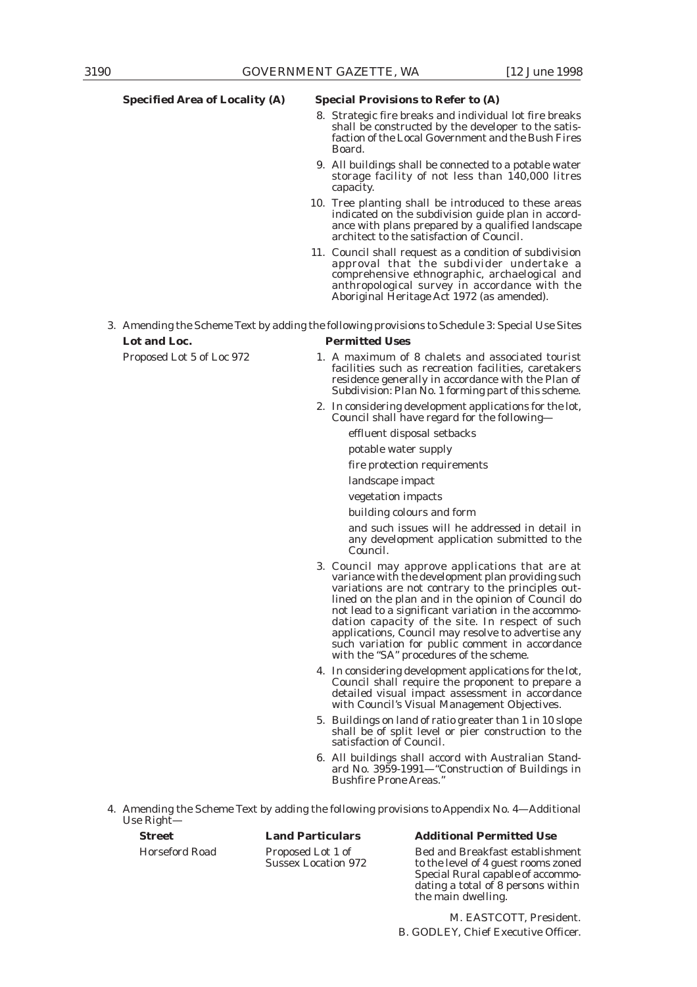#### **Specified Area of Locality (A) Special Provisions to Refer to (A)**

- 8. Strategic fire breaks and individual lot fire breaks shall be constructed by the developer to the satisfaction of the Local Government and the Bush Fires Board.
- 9. All buildings shall be connected to a potable water storage facility of not less than 140,000 litres capacity.
- 10. Tree planting shall be introduced to these areas indicated on the subdivision guide plan in accordance with plans prepared by a qualified landscape architect to the satisfaction of Council.
- 11. Council shall request as a condition of subdivision approval that the subdivider undertake a comprehensive ethnographic, archaelogical and anthropological survey in accordance with the Aboriginal Heritage Act 1972 (as amended).

3. Amending the Scheme Text by adding the following provisions to Schedule 3: Special Use Sites **Lot and Loc. Permitted Uses**

- Proposed Lot 5 of Loc 972 1. A maximum of 8 chalets and associated tourist facilities such as recreation facilities, caretakers residence generally in accordance with the Plan of Subdivision: Plan No. 1 forming part of this scheme.
	- 2. In considering development applications for the lot, Council shall have regard for the following
		- effluent disposal setbacks
		- potable water supply
		- fire protection requirements
		- landscape impact
		- vegetation impacts

building colours and form

- and such issues will he addressed in detail in any development application submitted to the Council.
- 3. Council may approve applications that are at variance with the development plan providing such variations are not contrary to the principles outlined on the plan and in the opinion of Council do not lead to a significant variation in the accommodation capacity of the site. In respect of such applications, Council may resolve to advertise any such variation for public comment in accordance with the "SA" procedures of the scheme.
- 4. In considering development applications for the lot, Council shall require the proponent to prepare a detailed visual impact assessment in accordance with Council's Visual Management Objectives.
- 5. Buildings on land of ratio greater than 1 in 10 slope shall be of split level or pier construction to the satisfaction of Council.
- 6. All buildings shall accord with Australian Standard No. 3959-1991—"Construction of Buildings in Bushfire Prone Areas."
- 4. Amending the Scheme Text by adding the following provisions to Appendix No. 4—Additional Use Right—

### **Street Land Particulars Additional Permitted Use**

Horseford Road Proposed Lot 1 of Bed and Breakfast establishment Sussex Location 972 to the level of 4 guest rooms zoned Special Rural capable of accommodating a total of 8 persons within the main dwelling.

> M. EASTCOTT, President. B. GODLEY, Chief Executive Officer.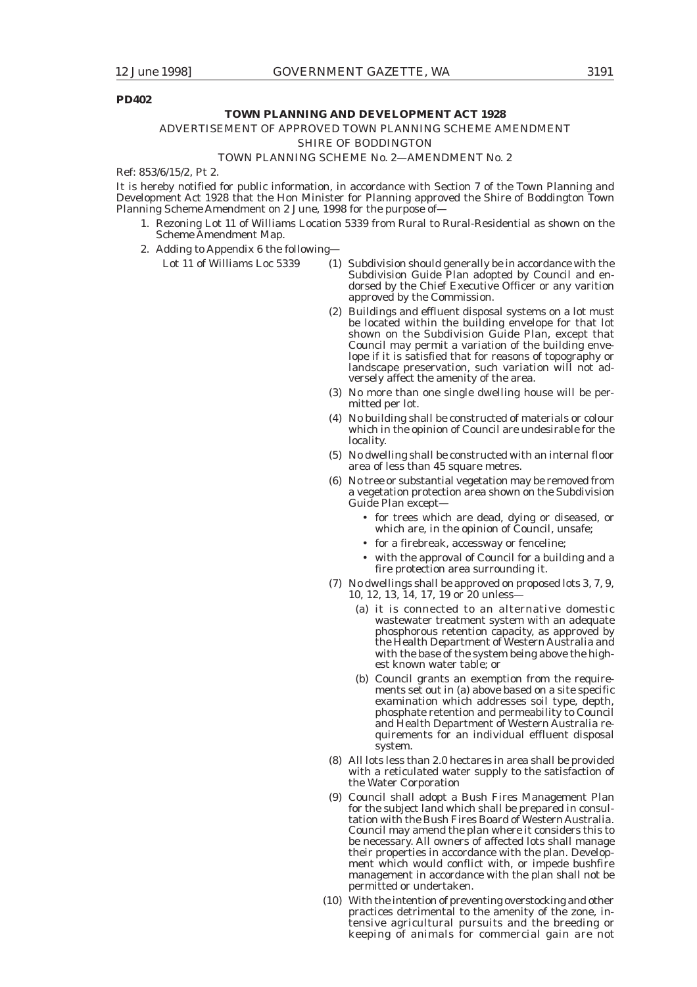### **PD402**

#### **TOWN PLANNING AND DEVELOPMENT ACT 1928**

### ADVERTISEMENT OF APPROVED TOWN PLANNING SCHEME AMENDMENT

*SHIRE OF BODDINGTON*

### TOWN PLANNING SCHEME No. 2—AMENDMENT No. 2

Ref: 853/6/15/2, Pt 2.

It is hereby notified for public information, in accordance with Section 7 of the Town Planning and Development Act 1928 that the Hon Minister for Planning approved the Shire of Boddington Town Planning Scheme Amendment on 2 June, 1998 for the purpose of—

- 1. Rezoning Lot 11 of Williams Location 5339 from Rural to Rural-Residential as shown on the Scheme Amendment Map.
- 2. Adding to Appendix 6 the following—
	- Lot 11 of Williams Loc 5339 (1) Subdivision should generally be in accordance with the Subdivision Guide Plan adopted by Council and endorsed by the Chief Executive Officer or any varition approved by the Commission.
		- (2) Buildings and effluent disposal systems on a lot must be located within the building envelope for that lot shown on the Subdivision Guide Plan, except that Council may permit a variation of the building envelope if it is satisfied that for reasons of topography or landscape preservation, such variation will not adversely affect the amenity of the area.
		- (3) No more than one single dwelling house will be permitted per lot.
		- (4) No building shall be constructed of materials or colour which in the opinion of Council are undesirable for the locality.
		- (5) No dwelling shall be constructed with an internal floor area of less than 45 square metres.
		- (6) No tree or substantial vegetation may be removed from a vegetation protection area shown on the Subdivision Guide Plan except—
			- for trees which are dead, dying or diseased, or which are, in the opinion of Council, unsafe;
			- for a firebreak, accessway or fenceline;
			- with the approval of Council for a building and a fire protection area surrounding it.
		- (7) No dwellings shall be approved on proposed lots 3, 7, 9, 10, 12, 13, 14, 17, 19 or 20 unless—
			- (a) it is connected to an alternative domestic wastewater treatment system with an adequate phosphorous retention capacity, as approved by the Health Department of Western Australia and with the base of the system being above the highest known water table; or
			- (b) Council grants an exemption from the requirements set out in (a) above based on a site specific examination which addresses soil type, depth, phosphate retention and permeability to Council and Health Department of Western Australia requirements for an individual effluent disposal system.
		- (8) All lots less than 2.0 hectares in area shall be provided with a reticulated water supply to the satisfaction of the Water Corporation
		- (9) Council shall adopt a Bush Fires Management Plan for the subject land which shall be prepared in consultation with the Bush Fires Board of Western Australia. Council may amend the plan where it considers this to be necessary. All owners of affected lots shall manage their properties in accordance with the plan. Development which would conflict with, or impede bushfire management in accordance with the plan shall not be permitted or undertaken.
		- (10) With the intention of preventing overstocking and other practices detrimental to the amenity of the zone, intensive agricultural pursuits and the breeding or keeping of animals for commercial gain are not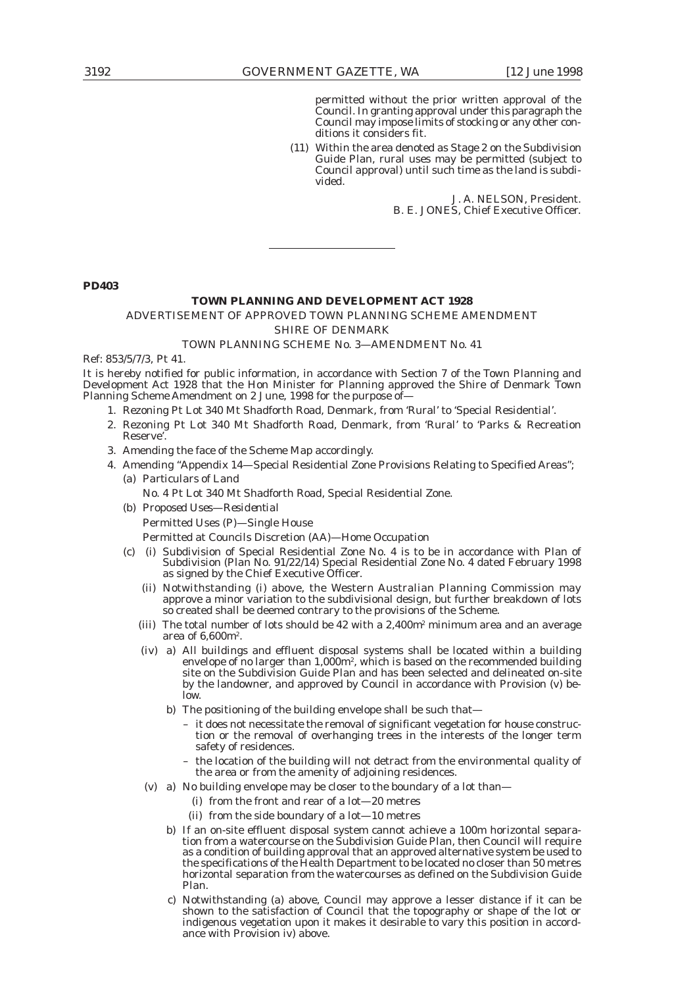permitted without the prior written approval of the Council. In granting approval under this paragraph the Council may impose limits of stocking or any other conditions it considers fit.

(11) Within the area denoted as Stage 2 on the Subdivision Guide Plan, rural uses may be permitted (subject to Council approval) until such time as the land is subdivided.

> J. A. NELSON, President. B. E. JONES, Chief Executive Officer.

**PD403**

### **TOWN PLANNING AND DEVELOPMENT ACT 1928**

### ADVERTISEMENT OF APPROVED TOWN PLANNING SCHEME AMENDMENT

*SHIRE OF DENMARK*

### TOWN PLANNING SCHEME No. 3—AMENDMENT No. 41

Ref: 853/5/7/3, Pt 41.

It is hereby notified for public information, in accordance with Section 7 of the Town Planning and Development Act 1928 that the Hon Minister for Planning approved the Shire of Denmark Town Planning Scheme Amendment on 2 June, 1998 for the purpose of—

- 1. Rezoning Pt Lot 340 Mt Shadforth Road, Denmark, from 'Rural' to 'Special Residential'.
- 2. Rezoning Pt Lot 340 Mt Shadforth Road, Denmark, from 'Rural' to 'Parks & Recreation Reserve'.
- 3. Amending the face of the Scheme Map accordingly.
- 4. Amending "Appendix 14—Special Residential Zone Provisions Relating to Specified Areas"; (a) *Particulars of Land*
	- No. 4 Pt Lot 340 Mt Shadforth Road, Special Residential Zone.
	- (b) *Proposed Uses—Residential*

Permitted Uses (P)—Single House

- Permitted at Councils Discretion (AA)—Home Occupation
- (c) (i) Subdivision of Special Residential Zone No. 4 is to be in accordance with Plan of Subdivision (Plan No. 91/22/14) Special Residential Zone No. 4 dated February 1998 as signed by the Chief Executive Officer.
	- (ii) Notwithstanding (i) above, the Western Australian Planning Commission may approve a minor variation to the subdivisional design, but further breakdown of lots so created shall be deemed contrary to the provisions of the Scheme.
	- (iii) The total number of lots should be  $42$  with a  $2,400m^2$  minimum area and an average area of 6,600m2.
	- (iv) a) All buildings and effluent disposal systems shall be located within a building envelope of no larger than 1,000m², which is based on the recommended building site on the Subdivision Guide Plan and has been selected and delineated on-site by the landowner, and approved by Council in accordance with Provision (v) below.
		- b) The positioning of the building envelope shall be such that-
			- it does not necessitate the removal of significant vegetation for house construction or the removal of overhanging trees in the interests of the longer term safety of residences.
			- the location of the building will not detract from the environmental quality of the area or from the amenity of adjoining residences.
	- (v) a) No building envelope may be closer to the boundary of a lot than—
		- (i) from the front and rear of a lot—20 metres
		- (ii) from the side boundary of a lot—10 metres
		- b) If an on-site effluent disposal system cannot achieve a 100m horizontal separation from a watercourse on the Subdivision Guide Plan, then Council will require as a condition of building approval that an approved alternative system be used to the specifications of the Health Department to be located no closer than 50 metres horizontal separation from the watercourses as defined on the Subdivision Guide Plan.
		- c) Notwithstanding (a) above, Council may approve a lesser distance if it can be shown to the satisfaction of Council that the topography or shape of the lot or indigenous vegetation upon it makes it desirable to vary this position in accordance with Provision iv) above.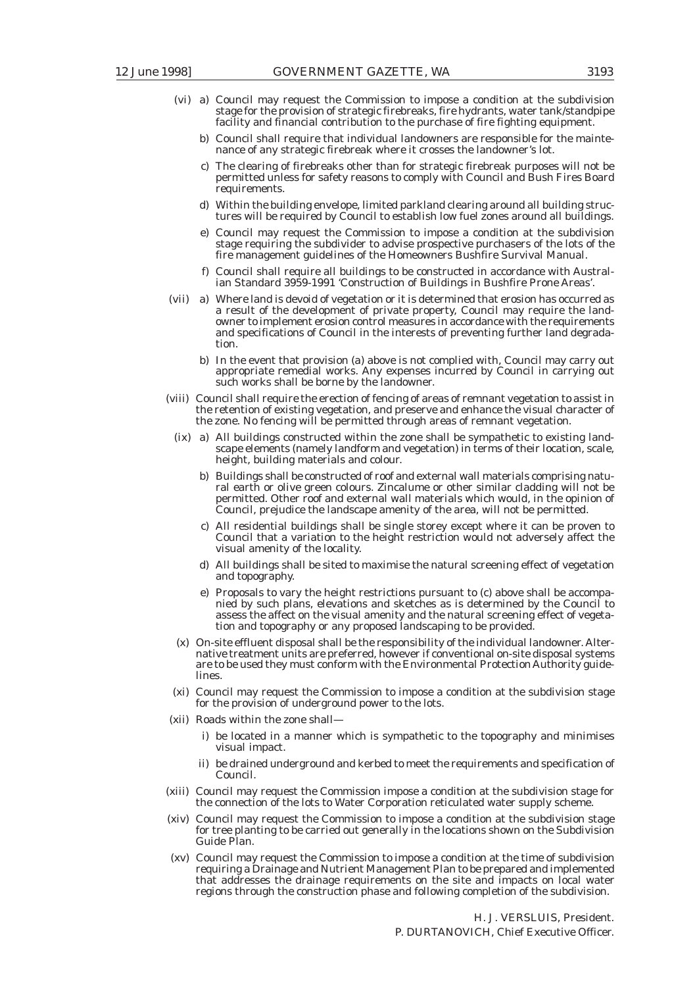- (vi) a) Council may request the Commission to impose a condition at the subdivision stage for the provision of strategic firebreaks, fire hydrants, water tank/standpipe facility and financial contribution to the purchase of fire fighting equipment.
	- b) Council shall require that individual landowners are responsible for the maintenance of any strategic firebreak where it crosses the landowner's lot.
	- c) The clearing of firebreaks other than for strategic firebreak purposes will not be permitted unless for safety reasons to comply with Council and Bush Fires Board requirements.
	- d) Within the building envelope, limited parkland clearing around all building structures will be required by Council to establish low fuel zones around all buildings.
	- e) Council may request the Commission to impose a condition at the subdivision stage requiring the subdivider to advise prospective purchasers of the lots of the fire management guidelines of the Homeowners Bushfire Survival Manual.
	- f) Council shall require all buildings to be constructed in accordance with Australian Standard 3959-1991 'Construction of Buildings in Bushfire Prone Areas'.
- (vii) a) Where land is devoid of vegetation or it is determined that erosion has occurred as a result of the development of private property, Council may require the landowner to implement erosion control measures in accordance with the requirements and specifications of Council in the interests of preventing further land degradation.
	- b) In the event that provision (a) above is not complied with, Council may carry out appropriate remedial works. Any expenses incurred by Council in carrying out such works shall be borne by the landowner.
- (viii) Council shall require the erection of fencing of areas of remnant vegetation to assist in the retention of existing vegetation, and preserve and enhance the visual character of the zone. No fencing will be permitted through areas of remnant vegetation.
	- (ix) a) All buildings constructed within the zone shall be sympathetic to existing landscape elements (namely landform and vegetation) in terms of their location, scale, height, building materials and colour.
		- b) Buildings shall be constructed of roof and external wall materials comprising natural earth or olive green colours. Zincalume or other similar cladding will not be permitted. Other roof and external wall materials which would, in the opinion of Council, prejudice the landscape amenity of the area, will not be permitted.
		- c) All residential buildings shall be single storey except where it can be proven to Council that a variation to the height restriction would not adversely affect the visual amenity of the locality.
		- d) All buildings shall be sited to maximise the natural screening effect of vegetation and topography.
		- e) Proposals to vary the height restrictions pursuant to (c) above shall be accompanied by such plans, elevations and sketches as is determined by the Council to assess the affect on the visual amenity and the natural screening effect of vegetation and topography or any proposed landscaping to be provided.
	- (x) On-site effluent disposal shall be the responsibility of the individual landowner. Alternative treatment units are preferred, however if conventional on-site disposal systems are to be used they must conform with the Environmental Protection Authority guidelines.
	- (xi) Council may request the Commission to impose a condition at the subdivision stage for the provision of underground power to the lots.
- (xii) Roads within the zone shall
	- i) be located in a manner which is sympathetic to the topography and minimises visual impact.
	- ii) be drained underground and kerbed to meet the requirements and specification of Council.
- (xiii) Council may request the Commission impose a condition at the subdivision stage for the connection of the lots to Water Corporation reticulated water supply scheme.
- (xiv) Council may request the Commission to impose a condition at the subdivision stage for tree planting to be carried out generally in the locations shown on the Subdivision Guide Plan.
- (xv) Council may request the Commission to impose a condition at the time of subdivision requiring a Drainage and Nutrient Management Plan to be prepared and implemented that addresses the drainage requirements on the site and impacts on local water regions through the construction phase and following completion of the subdivision.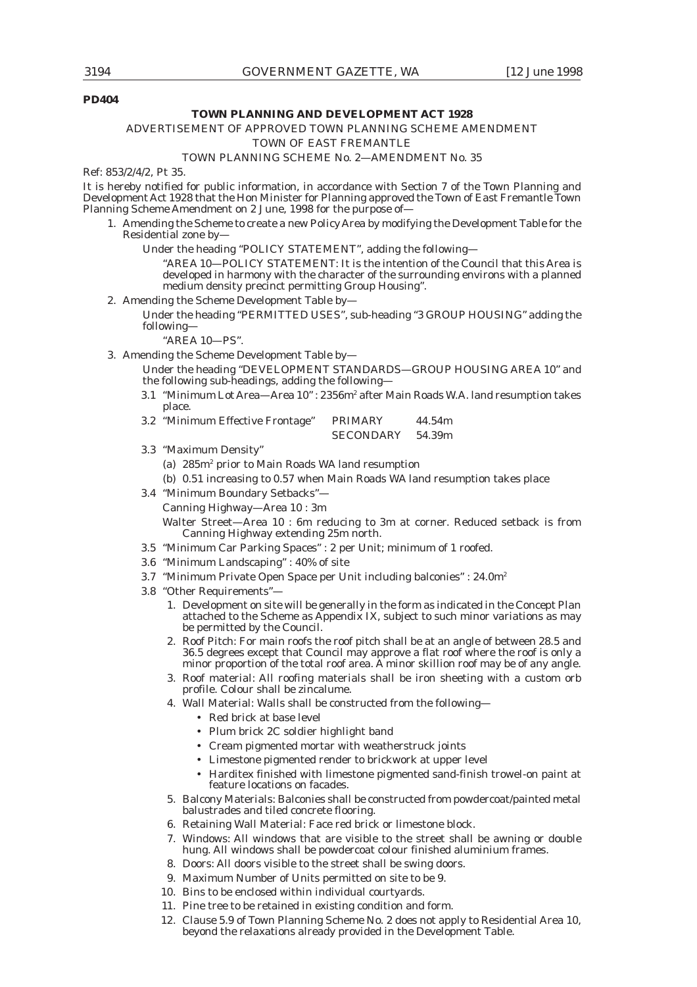### **PD404**

#### **TOWN PLANNING AND DEVELOPMENT ACT 1928**

### ADVERTISEMENT OF APPROVED TOWN PLANNING SCHEME AMENDMENT

#### *TOWN OF EAST FREMANTLE*

### TOWN PLANNING SCHEME No. 2—AMENDMENT No. 35

Ref: 853/2/4/2, Pt 35.

It is hereby notified for public information, in accordance with Section 7 of the Town Planning and Development Act 1928 that the Hon Minister for Planning approved the Town of East Fremantle Town Planning Scheme Amendment on 2 June, 1998 for the purpose of-

- 1. Amending the Scheme to create a new Policy Area by modifying the Development Table for the Residential zone by—
	- Under the heading "POLICY STATEMENT", adding the following—

"AREA 10—POLICY STATEMENT: It is the intention of the Council that this Area is developed in harmony with the character of the surrounding environs with a planned medium density precinct permitting Group Housing".

2. Amending the Scheme Development Table by—

Under the heading "PERMITTED USES", sub-heading "3 GROUP HOUSING" adding the following—

"AREA 10—PS".

3. Amending the Scheme Development Table by—

Under the heading "DEVELOPMENT STANDARDS—GROUP HOUSING AREA 10" and the following sub-headings, adding the following—

3.1 "Minimum Lot Area—Area 10": 2356m<sup>2</sup> after Main Roads W.A. land resumption takes place.

| 3.2 "Minimum Effective Frontage" | <b>PRIMARY</b>   | 44.54m |
|----------------------------------|------------------|--------|
|                                  | <b>SECONDARY</b> | 54.39m |

3.3 "Maximum Density"

(a) 285m<sup>2</sup> prior to Main Roads WA land resumption

(b) 0.51 increasing to 0.57 when Main Roads WA land resumption takes place

- 3.4 "Minimum Boundary Setbacks"—
	- Canning Highway—Area 10 : 3m

Walter Street—Area 10 : 6m reducing to 3m at corner. Reduced setback is from Canning Highway extending 25m north.

- 3.5 "Minimum Car Parking Spaces" : 2 per Unit; minimum of 1 roofed.
- 3.6 "Minimum Landscaping" : 40% of site
- 3.7 "Minimum Private Open Space per Unit including balconies" : 24.0m2
- 3.8 "Other Requirements"—
	- 1. Development on site will be generally in the form as indicated in the Concept Plan attached to the Scheme as Appendix IX, subject to such minor variations as may be permitted by the Council.
	- 2. Roof Pitch: For main roofs the roof pitch shall be at an angle of between 28.5 and 36.5 degrees except that Council may approve a flat roof where the roof is only a minor proportion of the total roof area. A minor skillion roof may be of any angle.
	- 3. Roof material: All roofing materials shall be iron sheeting with a custom orb profile. Colour shall be zincalume.
	- 4. Wall Material: Walls shall be constructed from the following—
		- Red brick at base level
		- Plum brick 2C soldier highlight band
		- Cream pigmented mortar with weatherstruck joints
		- Limestone pigmented render to brickwork at upper level
		- Harditex finished with limestone pigmented sand-finish trowel-on paint at feature locations on facades.
	- 5. Balcony Materials: Balconies shall be constructed from powdercoat/painted metal balustrades and tiled concrete flooring.
	- 6. Retaining Wall Material: Face red brick or limestone block.
	- 7. Windows: All windows that are visible to the street shall be awning or double hung. All windows shall be powdercoat colour finished aluminium frames.
	- 8. Doors: All doors visible to the street shall be swing doors.
	- 9. Maximum Number of Units permitted on site to be 9.
	- 10. Bins to be enclosed within individual courtyards.
	- 11. Pine tree to be retained in existing condition and form.
	- 12. Clause 5.9 of Town Planning Scheme No. 2 does not apply to Residential Area 10, beyond the relaxations already provided in the Development Table.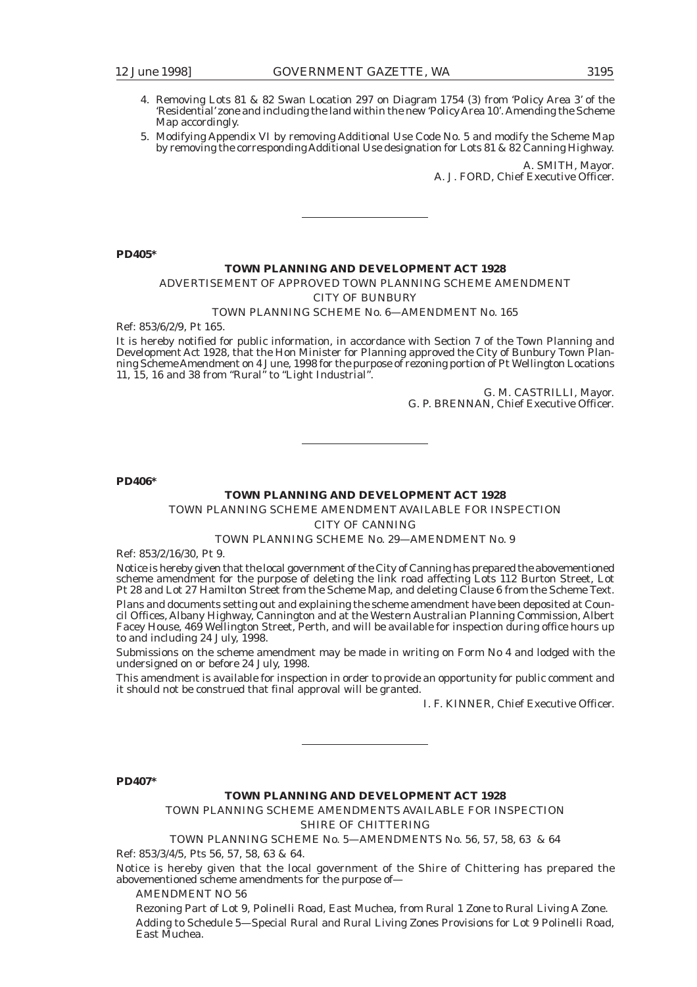- 
- 4. Removing Lots 81 & 82 Swan Location 297 on Diagram 1754 (3) from 'Policy Area 3' of the 'Residential' zone and including the land within the new 'Policy Area 10'. Amending the Scheme Map accordingly.
- 5. Modifying Appendix VI by removing Additional Use Code No. 5 and modify the Scheme Map by removing the corresponding Additional Use designation for Lots 81 & 82 Canning Highway.

A. SMITH, Mayor. A. J. FORD, Chief Executive Officer.

**PD405\***

### **TOWN PLANNING AND DEVELOPMENT ACT 1928**

ADVERTISEMENT OF APPROVED TOWN PLANNING SCHEME AMENDMENT

*CITY OF BUNBURY*

### TOWN PLANNING SCHEME No. 6—AMENDMENT No. 165

Ref: 853/6/2/9, Pt 165.

It is hereby notified for public information, in accordance with Section 7 of the Town Planning and Development Act 1928, that the Hon Minister for Planning approved the City of Bunbury Town Planning Scheme Amendment on 4 June, 1998 for the purpose of rezoning portion of Pt Wellington Locations 11, 15, 16 and 38 from "Rural" to "Light Industrial".

> G. M. CASTRILLI, Mayor. G. P. BRENNAN, Chief Executive Officer.

**PD406\***

### **TOWN PLANNING AND DEVELOPMENT ACT 1928**

TOWN PLANNING SCHEME AMENDMENT AVAILABLE FOR INSPECTION

*CITY OF CANNING*

### TOWN PLANNING SCHEME No. 29—AMENDMENT No. 9

Ref: 853/2/16/30, Pt 9.

Notice is hereby given that the local government of the City of Canning has prepared the abovementioned scheme amendment for the purpose of deleting the link road affecting Lots 112 Burton Street, Lot Pt 28 and Lot 27 Hamilton Street from the Scheme Map, and deleting Clause 6 from the Scheme Text. Plans and documents setting out and explaining the scheme amendment have been deposited at Council Offices, Albany Highway, Cannington and at the Western Australian Planning Commission, Albert Facey House, 469 Wellington Street, Perth, and will be available for inspection during office hours up to and including 24 July, 1998.

Submissions on the scheme amendment may be made in writing on Form No 4 and lodged with the undersigned on or before 24 July, 1998.

This amendment is available for inspection in order to provide an opportunity for public comment and it should not be construed that final approval will be granted.

I. F. KINNER, Chief Executive Officer.

**PD407\***

### **TOWN PLANNING AND DEVELOPMENT ACT 1928**

TOWN PLANNING SCHEME AMENDMENTS AVAILABLE FOR INSPECTION

*SHIRE OF CHITTERING*

TOWN PLANNING SCHEME No. 5—AMENDMENTS No. 56, 57, 58, 63 & 64

Ref: 853/3/4/5, Pts 56, 57, 58, 63 & 64.

Notice is hereby given that the local government of the Shire of Chittering has prepared the abovementioned scheme amendments for the purpose of—

AMENDMENT NO 56

Rezoning Part of Lot 9, Polinelli Road, East Muchea, from Rural 1 Zone to Rural Living A Zone. Adding to Schedule 5—Special Rural and Rural Living Zones Provisions for Lot 9 Polinelli Road, East Muchea.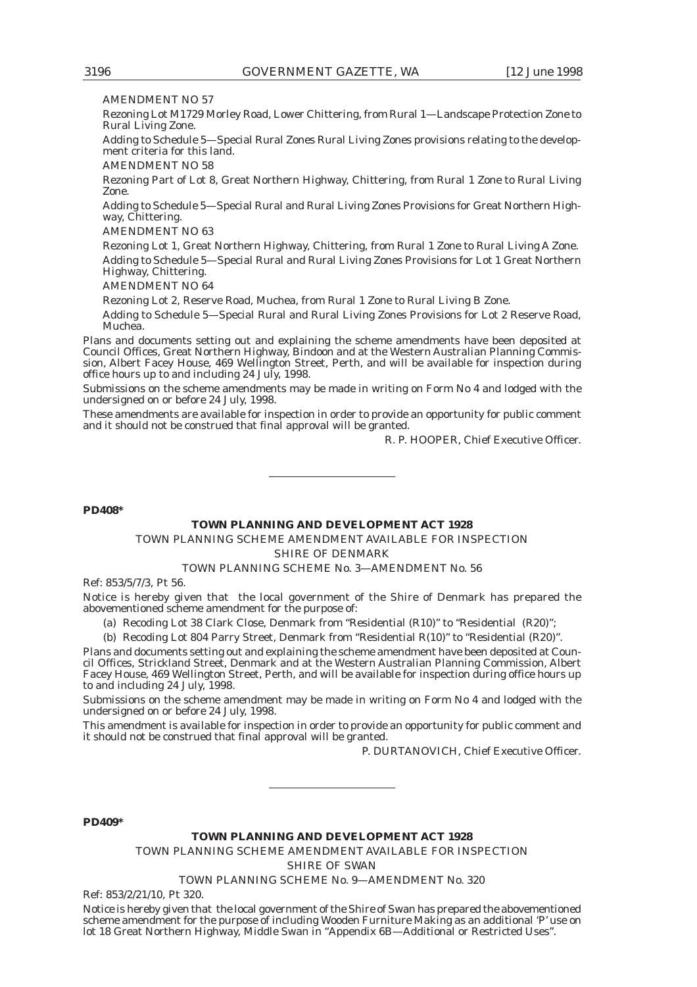AMENDMENT NO 57

Rezoning Lot M1729 Morley Road, Lower Chittering, from Rural 1—Landscape Protection Zone to Rural Living Zone.

Adding to Schedule 5—Special Rural Zones Rural Living Zones provisions relating to the development criteria for this land.

AMENDMENT NO 58

Rezoning Part of Lot 8, Great Northern Highway, Chittering, from Rural 1 Zone to Rural Living Zone.

Adding to Schedule 5—Special Rural and Rural Living Zones Provisions for Great Northern Highway, Chittering.

AMENDMENT NO 63

Rezoning Lot 1, Great Northern Highway, Chittering, from Rural 1 Zone to Rural Living A Zone. Adding to Schedule 5—Special Rural and Rural Living Zones Provisions for Lot 1 Great Northern Highway, Chittering.

AMENDMENT NO 64

Rezoning Lot 2, Reserve Road, Muchea, from Rural 1 Zone to Rural Living B Zone.

Adding to Schedule 5—Special Rural and Rural Living Zones Provisions for Lot 2 Reserve Road, Muchea.

Plans and documents setting out and explaining the scheme amendments have been deposited at Council Offices, Great Northern Highway, Bindoon and at the Western Australian Planning Commission, Albert Facey House, 469 Wellington Street, Perth, and will be available for inspection during office hours up to and including 24 July, 1998.

Submissions on the scheme amendments may be made in writing on Form No 4 and lodged with the undersigned on or before 24 July, 1998.

These amendments are available for inspection in order to provide an opportunity for public comment and it should not be construed that final approval will be granted.

R. P. HOOPER, Chief Executive Officer.

### **PD408\***

### **TOWN PLANNING AND DEVELOPMENT ACT 1928**

TOWN PLANNING SCHEME AMENDMENT AVAILABLE FOR INSPECTION

*SHIRE OF DENMARK*

### TOWN PLANNING SCHEME No. 3—AMENDMENT No. 56

Ref: 853/5/7/3, Pt 56.

Notice is hereby given that the local government of the Shire of Denmark has prepared the abovementioned scheme amendment for the purpose of:

(a) Recoding Lot 38 Clark Close, Denmark from "Residential (R10)" to "Residential (R20)";

(b) Recoding Lot 804 Parry Street, Denmark from "Residential R(10)" to "Residential (R20)".

Plans and documents setting out and explaining the scheme amendment have been deposited at Council Offices, Strickland Street, Denmark and at the Western Australian Planning Commission, Albert Facey House, 469 Wellington Street, Perth, and will be available for inspection during office hours up to and including 24 July, 1998.

Submissions on the scheme amendment may be made in writing on Form No 4 and lodged with the undersigned on or before 24 July, 1998.

This amendment is available for inspection in order to provide an opportunity for public comment and it should not be construed that final approval will be granted.

P. DURTANOVICH, Chief Executive Officer.

### **PD409\***

### **TOWN PLANNING AND DEVELOPMENT ACT 1928**

TOWN PLANNING SCHEME AMENDMENT AVAILABLE FOR INSPECTION

*SHIRE OF SWAN*

TOWN PLANNING SCHEME No. 9—AMENDMENT No. 320

Ref: 853/2/21/10, Pt 320.

Notice is hereby given that the local government of the Shire of Swan has prepared the abovementioned scheme amendment for the purpose of including Wooden Furniture Making as an additional 'P' use on lot 18 Great Northern Highway, Middle Swan in "Appendix 6B—Additional or Restricted Uses".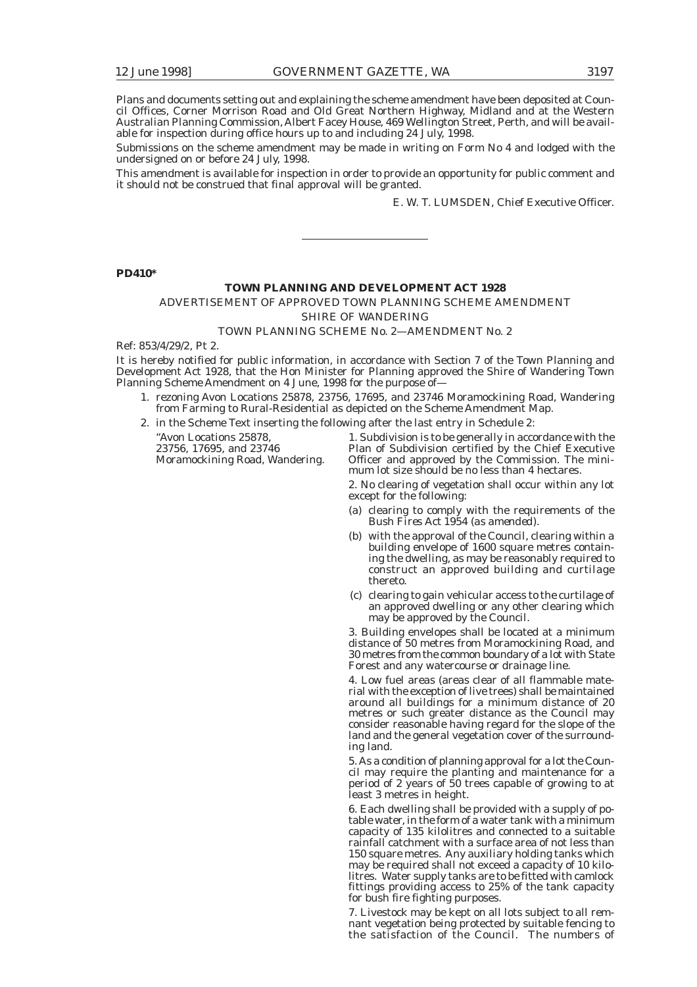Plans and documents setting out and explaining the scheme amendment have been deposited at Council Offices, Corner Morrison Road and Old Great Northern Highway, Midland and at the Western Australian Planning Commission, Albert Facey House, 469 Wellington Street, Perth, and will be available for inspection during office hours up to and including 24 July, 1998.

Submissions on the scheme amendment may be made in writing on Form No 4 and lodged with the undersigned on or before 24 July, 1998.

This amendment is available for inspection in order to provide an opportunity for public comment and it should not be construed that final approval will be granted.

E. W. T. LUMSDEN, Chief Executive Officer.

#### **PD410\***

### **TOWN PLANNING AND DEVELOPMENT ACT 1928**

ADVERTISEMENT OF APPROVED TOWN PLANNING SCHEME AMENDMENT *SHIRE OF WANDERING*

### TOWN PLANNING SCHEME No. 2—AMENDMENT No. 2

Ref: 853/4/29/2, Pt 2.

It is hereby notified for public information, in accordance with Section 7 of the Town Planning and Development Act 1928, that the Hon Minister for Planning approved the Shire of Wandering Town Planning Scheme Amendment on 4 June, 1998 for the purpose of—

- 1. rezoning Avon Locations 25878, 23756, 17695, and 23746 Moramockining Road, Wandering from Farming to Rural-Residential as depicted on the Scheme Amendment Map.
- 2. in the Scheme Text inserting the following after the last entry in Schedule 2:

"Avon Locations 25878, 1. Subdivision is to be generally in accordance with the 23756, 17695, and 23746 Plan of Subdivision certified by the Chief Executive Moramockining Road, Wandering. Officer and approved by the Commission. The mini-Officer and approved by the Commission. The minimum lot size should be no less than 4 hectares.

> 2. No clearing of vegetation shall occur within any lot except for the following:

- (a) clearing to comply with the requirements of the *Bush Fires Act 1954 (as amended).*
- (b) with the approval of the Council, clearing within a building envelope of 1600 square metres containing the dwelling, as may be reasonably required to construct an approved building and curtilage thereto.
- (c) clearing to gain vehicular access to the curtilage of an approved dwelling or any other clearing which may be approved by the Council.

3. Building envelopes shall be located at a minimum distance of 50 metres from Moramockining Road, and 30 metres from the common boundary of a lot with State Forest and any watercourse or drainage line.

4. Low fuel areas (areas clear of all flammable material with the exception of live trees) shall be maintained around all buildings for a minimum distance of 20 metres or such greater distance as the Council may consider reasonable having regard for the slope of the land and the general vegetation cover of the surrounding land.

5. As a condition of planning approval for a lot the Council may require the planting and maintenance for a period of 2 years of 50 trees capable of growing to at least 3 metres in height.

6. Each dwelling shall be provided with a supply of potable water, in the form of a water tank with a minimum capacity of 135 kilolitres and connected to a suitable rainfall catchment with a surface area of not less than 150 square metres. Any auxiliary holding tanks which may be required shall not exceed a capacity of 10 kilolitres. Water supply tanks are to be fitted with camlock fittings providing access to 25% of the tank capacity for bush fire fighting purposes.

7. Livestock may be kept on all lots subject to all remnant vegetation being protected by suitable fencing to the satisfaction of the Council. The numbers of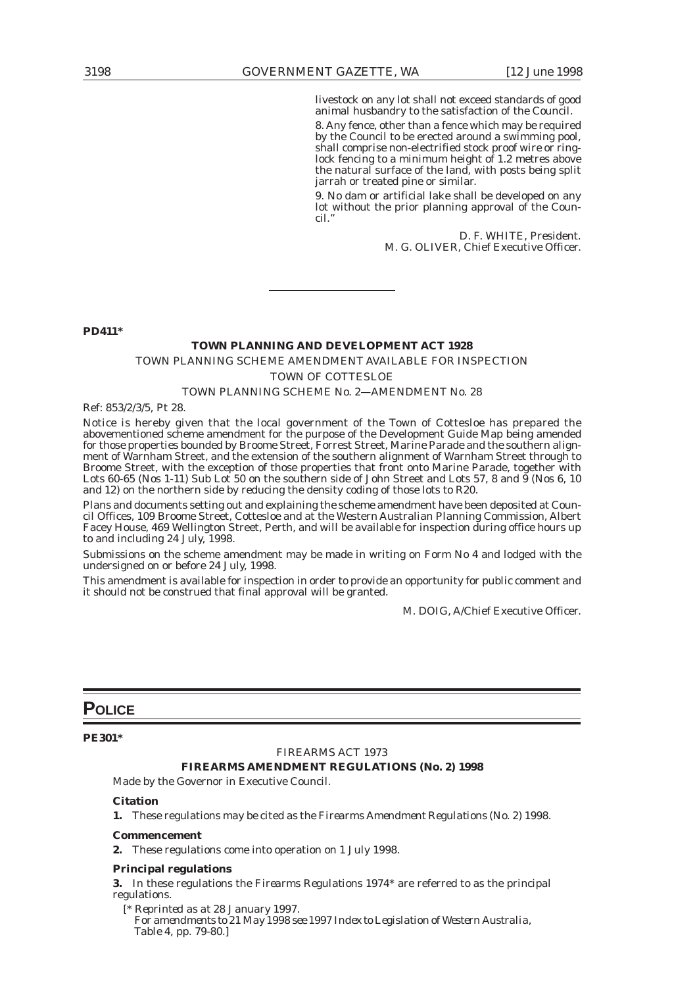livestock on any lot shall not exceed standards of good animal husbandry to the satisfaction of the Council.

8. Any fence, other than a fence which may be required by the Council to be erected around a swimming pool, shall comprise non-electrified stock proof wire or ringlock fencing to a minimum height of 1.2 metres above the natural surface of the land, with posts being split jarrah or treated pine or similar.

9. No dam or artificial lake shall be developed on any lot without the prior planning approval of the Council."

> D. F. WHITE, President. M. G. OLIVER, Chief Executive Officer.

**PD411\***

### **TOWN PLANNING AND DEVELOPMENT ACT 1928**

### TOWN PLANNING SCHEME AMENDMENT AVAILABLE FOR INSPECTION

### *TOWN OF COTTESLOE*

### TOWN PLANNING SCHEME No. 2—AMENDMENT No. 28

Ref: 853/2/3/5, Pt 28.

Notice is hereby given that the local government of the Town of Cottesloe has prepared the abovementioned scheme amendment for the purpose of the Development Guide Map being amended for those properties bounded by Broome Street, Forrest Street, Marine Parade and the southern alignment of Warnham Street, and the extension of the southern alignment of Warnham Street through to Broome Street, with the exception of those properties that front onto Marine Parade, together with Lots 60-65 (Nos 1-11) Sub Lot 50 on the southern side of John Street and Lots 57, 8 and  $\frac{9}{9}$  (Nos 6, 10) and 12) on the northern side by reducing the density coding of those lots to R20.

Plans and documents setting out and explaining the scheme amendment have been deposited at Council Offices, 109 Broome Street, Cottesloe and at the Western Australian Planning Commission, Albert Facey House, 469 Wellington Street, Perth, and will be available for inspection during office hours up to and including 24 July, 1998.

Submissions on the scheme amendment may be made in writing on Form No 4 and lodged with the undersigned on or before 24 July, 1998.

This amendment is available for inspection in order to provide an opportunity for public comment and it should not be construed that final approval will be granted.

M. DOIG, A/Chief Executive Officer.

### **POLICE**

**PE301\***

### FIREARMS ACT 1973

### **FIREARMS AMENDMENT REGULATIONS (No. 2) 1998**

Made by the Governor in Executive Council.

### **Citation**

**1.** These regulations may be cited as the *Firearms Amendment Regulations (No. 2) 1998*.

### **Commencement**

**2.** These regulations come into operation on 1 July 1998.

### **Principal regulations**

**3.** In these regulations the *Firearms Regulations 1974\** are referred to as the principal regulations.

[*\* Reprinted as at 28 January 1997. For amendments to 21 May 1998 see 1997 Index to Legislation of Western Australia, Table 4, pp. 79-80.*]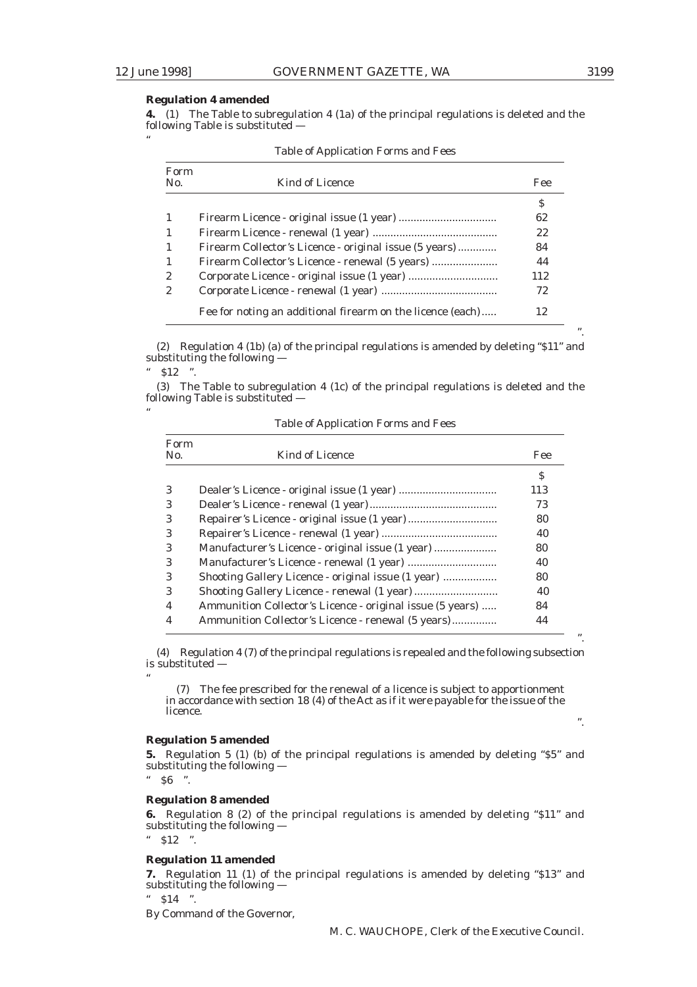"

"

".

".

".

### **Regulation 4 amended**

**4.** (1) The Table to subregulation 4 (1a) of the principal regulations is deleted and the following Table is substituted —

| Form<br>N <sub>0</sub> | Kind of Licence                                            | Fee |
|------------------------|------------------------------------------------------------|-----|
|                        |                                                            | S   |
| $\mathbf{1}$           |                                                            | 62  |
| $\mathbf{1}$           |                                                            | 22  |
| $\mathbf{1}$           | Firearm Collector's Licence - original issue (5 years)     | 84  |
| $\mathbf{1}$           | Firearm Collector's Licence - renewal (5 years)            | 44  |
| $\mathbf{2}$           |                                                            | 112 |
| 2                      |                                                            | 72  |
|                        | Fee for noting an additional firearm on the licence (each) | 12  |

Table of Application Forms and Fees

(2) Regulation 4 (1b) (a) of the principal regulations is amended by deleting "\$11" and substituting the following —  $"$  \$12 ".

(3) The Table to subregulation 4 (1c) of the principal regulations is deleted and the following Table is substituted —

Table of Application Forms and Fees

| Form<br>N <sub>0</sub> | <b>Kind of Licence</b>                                    | Fee |
|------------------------|-----------------------------------------------------------|-----|
|                        |                                                           | \$  |
| 3                      |                                                           | 113 |
| 3                      |                                                           | 73  |
| 3                      |                                                           | 80  |
| 3                      |                                                           | 40  |
| 3                      | Manufacturer's Licence - original issue (1 year)          | 80  |
| 3                      |                                                           | 40  |
| 3                      | Shooting Gallery Licence - original issue (1 year)        | 80  |
| 3                      |                                                           | 40  |
| 4                      | Ammunition Collector's Licence - original issue (5 years) | 84  |
|                        | Ammunition Collector's Licence - renewal (5 years)        | 44  |

(4) Regulation 4 (7) of the principal regulations is repealed and the following subsection is substituted —

(7) The fee prescribed for the renewal of a licence is subject to apportionment in accordance with section 18 (4) of the Act as if it were payable for the issue of the licence.

### **Regulation 5 amended**

**5.** Regulation 5 (1) (b) of the principal regulations is amended by deleting "\$5" and substituting the following —

 $"$  \$6 ".

"

### **Regulation 8 amended**

**6.** Regulation 8 (2) of the principal regulations is amended by deleting "\$11" and substituting the following —

" \$12 ".

### **Regulation 11 amended**

**7.** Regulation 11 (1) of the principal regulations is amended by deleting "\$13" and substituting the following -

 $"$  \$14 ".

By Command of the Governor,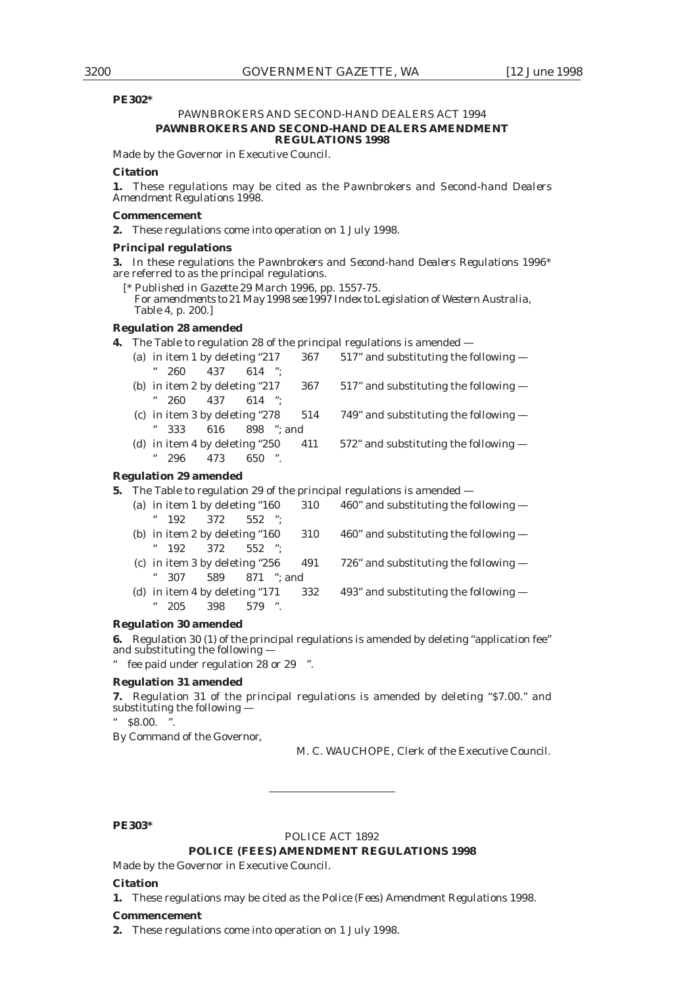### **PE302\***

### PAWNBROKERS AND SECOND-HAND DEALERS ACT 1994 **PAWNBROKERS AND SECOND-HAND DEALERS AMENDMENT REGULATIONS 1998**

Made by the Governor in Executive Council.

### **Citation**

**1.** These regulations may be cited as the *Pawnbrokers and Second-hand Dealers Amendment Regulations 1998*.

#### **Commencement**

**2.** These regulations come into operation on 1 July 1998.

### **Principal regulations**

**3.** In these regulations the *Pawnbrokers and Second-hand Dealers Regulations 1996\** are referred to as the principal regulations.

[*\* Published in Gazette 29 March 1996, pp. 1557-75. For amendments to 21 May 1998 see 1997 Index to Legislation of Western Australia, Table 4, p. 200.*]

### **Regulation 28 amended**

**4.** The Table to regulation 28 of the principal regulations is amended —

| (a) in item 1 by deleting $217$       | 367 | $517$ " and substituting the following $-$ |
|---------------------------------------|-----|--------------------------------------------|
| 66<br>$260 \quad 437 \quad 614 \quad$ |     |                                            |
| (b) in item 2 by deleting $"217"$     | 367 | $517$ " and substituting the following $-$ |
| " $260$ $437$ $614$ ":                |     |                                            |
| (c) in item 3 by deleting "278        | 514 | 749" and substituting the following $-$    |
| " $333$ $616$ $898$ ": and            |     |                                            |
| (d) in item 4 by deleting $250$       | 411 | $572$ " and substituting the following $-$ |
| 650 ".<br>296<br>473                  |     |                                            |
|                                       |     |                                            |

### **Regulation 29 amended**

**5.** The Table to regulation 29 of the principal regulations is amended —

|  | (a) in item 1 by deleting $160$ 310 | 460" and substituting the following $-$ |
|--|-------------------------------------|-----------------------------------------|
|  | " $192$ $372$ $552$ ":              |                                         |
|  |                                     |                                         |

- (b) in item 2 by deleting "160  $310$  460" and substituting the following  $-$ " 192 372 552 ";
- (c) in item 3 by deleting "256  $491$  726" and substituting the following  $-$ " 307 589 871 "; and
- (d) in item 4 by deleting "171  $332$  493" and substituting the following  $-$ " 205 398 579 ".

### **Regulation 30 amended**

**6.** Regulation 30 (1) of the principal regulations is amended by deleting "application fee" and substituting the following —

" fee paid under regulation 28 or 29 ".

### **Regulation 31 amended**

**7.** Regulation 31 of the principal regulations is amended by deleting "\$7.00." and substituting the following —

 $$8.00.$ 

By Command of the Governor,

M. C. WAUCHOPE, Clerk of the Executive Council.

### **PE303\***

### POLICE ACT 1892

### **POLICE (FEES) AMENDMENT REGULATIONS 1998**

Made by the Governor in Executive Council.

#### **Citation**

**1.** These regulations may be cited as the *Police (Fees) Amendment Regulations 1998*.

#### **Commencement**

**2.** These regulations come into operation on 1 July 1998.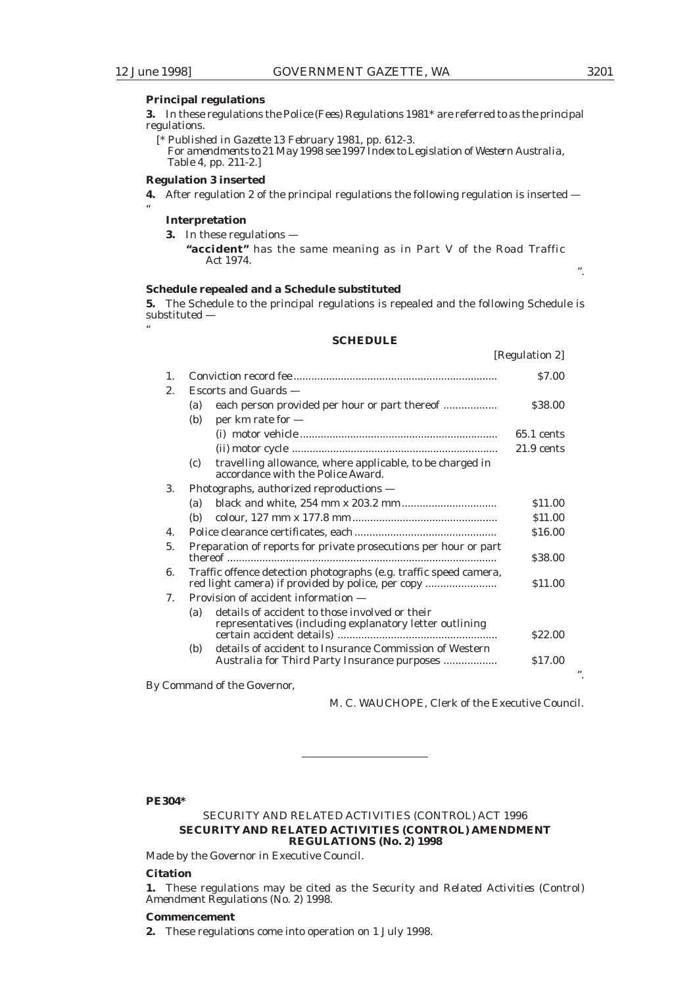"

"

".

".

[Regulation 2]

### **Principal regulations**

**3.** In these regulations the *Police (Fees) Regulations 1981\** are referred to as the principal regulations.

[*\* Published in Gazette 13 February 1981, pp. 612-3. For amendments to 21 May 1998 see 1997 Index to Legislation of Western Australia, Table 4, pp. 211-2.*]

#### **Regulation 3 inserted**

**4.** After regulation 2 of the principal regulations the following regulation is inserted —

### **Interpretation**

- **3.** In these regulations
	- **"accident"** has the same meaning as in Part V of the *Road Traffic Act 1974*.

### **Schedule repealed and a Schedule substituted**

**5.** The Schedule to the principal regulations is repealed and the following Schedule is substituted —

### **SCHEDULE**

|                                       |                      |                                                                                                                        | $\mu$ guation $\omega$ |
|---------------------------------------|----------------------|------------------------------------------------------------------------------------------------------------------------|------------------------|
| $\mathbf{1}$ .                        |                      |                                                                                                                        | <b>S7.00</b>           |
| 2.                                    | Escorts and Guards — |                                                                                                                        |                        |
|                                       | (a)                  | each person provided per hour or part thereof                                                                          | \$38.00                |
|                                       | (b)                  | per km rate for $-$                                                                                                    |                        |
|                                       |                      |                                                                                                                        | $65.1$ cents           |
|                                       |                      |                                                                                                                        | $21.9$ cents           |
|                                       | (c)                  | travelling allowance, where applicable, to be charged in<br>accordance with the Police Award.                          |                        |
| 3.                                    |                      | Photographs, authorized reproductions —                                                                                |                        |
|                                       | (a)                  |                                                                                                                        | \$11.00                |
|                                       | (b)                  |                                                                                                                        | \$11.00                |
| $\mathbf{4}$ .                        |                      |                                                                                                                        | \$16.00                |
| 5.                                    |                      | Preparation of reports for private prosecutions per hour or part                                                       | \$38.00                |
| 6.                                    |                      | Traffic offence detection photographs (e.g. traffic speed camera,<br>red light camera) if provided by police, per copy | \$11.00                |
| $7_{\scriptscriptstyle{\ddot{\sim}}}$ |                      | Provision of accident information —                                                                                    |                        |
|                                       | (a)                  | details of accident to those involved or their                                                                         |                        |
|                                       |                      | representatives (including explanatory letter outlining                                                                | \$22.00                |
|                                       | (b)                  | details of accident to Insurance Commission of Western<br>Australia for Third Party Insurance purposes                 | \$17.00                |

By Command of the Governor,

M. C. WAUCHOPE, Clerk of the Executive Council.

### **PE304\***

### SECURITY AND RELATED ACTIVITIES (CONTROL) ACT 1996 **SECURITY AND RELATED ACTIVITIES (CONTROL) AMENDMENT REGULATIONS (No. 2) 1998**

Made by the Governor in Executive Council.

### **Citation**

**1.** These regulations may be cited as the *Security and Related Activities (Control) Amendment Regulations (No. 2) 1998*.

### **Commencement**

**2.** These regulations come into operation on 1 July 1998.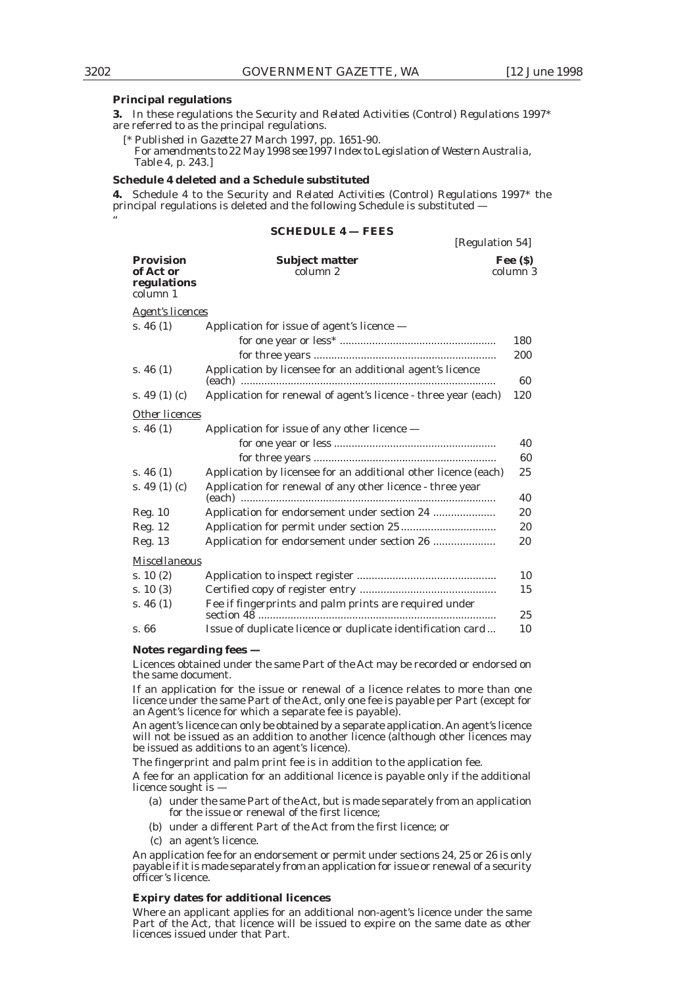[Regulation 54]

#### **Principal regulations**

**3.** In these regulations the *Security and Related Activities (Control) Regulations 1997\** are referred to as the principal regulations.

[*\* Published in Gazette 27 March 1997, pp. 1651-90. For amendments to 22 May 1998 see 1997 Index to Legislation of Western Australia, Table 4, p. 243.*]

#### **Schedule 4 deleted and a Schedule substituted**

**4.** Schedule 4 to the *Security and Related Activities (Control) Regulations 1997\** the principal regulations is deleted and the following Schedule is substituted —

### **SCHEDULE 4 — FEES**

|                                                          |                                                                | $100$ and $10110$     |
|----------------------------------------------------------|----------------------------------------------------------------|-----------------------|
| <b>Provision</b><br>of Act or<br>regulations<br>column 1 | <b>Subject matter</b><br>column 2                              | Fee $(S)$<br>column 3 |
| <b>Agent's licences</b>                                  |                                                                |                       |
| s. 46 $(1)$                                              | Application for issue of agent's licence $-$                   |                       |
|                                                          |                                                                | 180                   |
|                                                          |                                                                | 200                   |
| s. 46 $(1)$                                              | Application by licensee for an additional agent's licence      | 60                    |
| s. 49 $(1)$ $(c)$                                        | Application for renewal of agent's licence - three year (each) | 120                   |
| Other licences                                           |                                                                |                       |
| s. 46 $(1)$                                              | Application for issue of any other licence -                   |                       |
|                                                          |                                                                | 40                    |
|                                                          |                                                                | 60                    |
| s. 46 $(1)$                                              | Application by licensee for an additional other licence (each) | 25                    |
| s. 49 $(1)$ $(c)$                                        | Application for renewal of any other licence - three year      | 40                    |
| Reg. 10                                                  |                                                                | 20                    |
| Reg. 12                                                  |                                                                | 20                    |
| Reg. 13                                                  | Application for endorsement under section 26                   | 20                    |
| Miscellaneous                                            |                                                                |                       |
| s. $10(2)$                                               |                                                                | 10                    |
| s. 10(3)                                                 |                                                                | 15                    |
| s. 46 $(1)$                                              | Fee if fingerprints and palm prints are required under         | 25                    |
| s. 66                                                    | Issue of duplicate licence or duplicate identification card    | 10                    |

#### **Notes regarding fees —**

Licences obtained under the same Part of the Act may be recorded or endorsed on the same document.

If an application for the issue or renewal of a licence relates to more than one licence under the same Part of the Act, only one fee is payable per Part (except for an Agent's licence for which a separate fee is payable).

An agent's licence can only be obtained by a separate application. An agent's licence will not be issued as an addition to another licence (although other licences may be issued as additions to an agent's licence).

The fingerprint and palm print fee is in addition to the application fee.

A fee for an application for an additional licence is payable only if the additional licence sought is —

- (a) under the same Part of the Act, but is made separately from an application for the issue or renewal of the first licence;
- (b) under a different Part of the Act from the first licence; or
- (c) an agent's licence.

An application fee for an endorsement or permit under sections 24, 25 or 26 is only payable if it is made separately from an application for issue or renewal of a security officer's licence.

### **Expiry dates for additional licences**

Where an applicant applies for an additional non-agent's licence under the same Part of the Act, that licence will be issued to expire on the same date as other licences issued under that Part.

"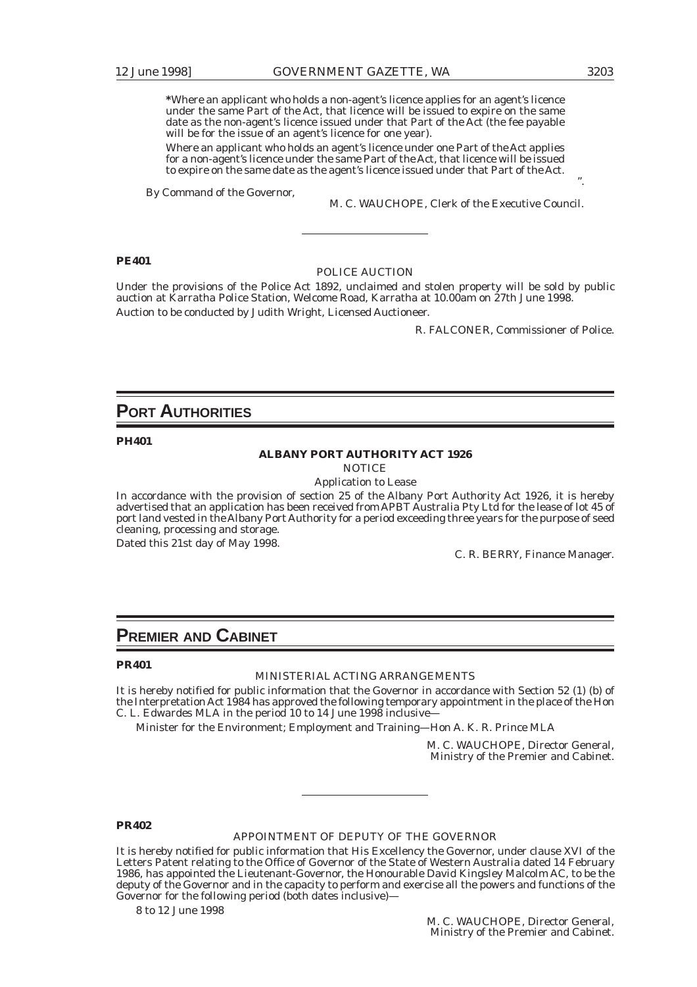**\***Where an applicant who holds a non-agent's licence applies for an agent's licence under the same Part of the Act, that licence will be issued to expire on the same date as the non-agent's licence issued under that Part of the Act (the fee payable will be for the issue of an agent's licence for one year).

Where an applicant who holds an agent's licence under one Part of the Act applies for a non-agent's licence under the same Part of the Act, that licence will be issued to expire on the same date as the agent's licence issued under that Part of the Act.

By Command of the Governor,

M. C. WAUCHOPE, Clerk of the Executive Council.

### **PE401**

#### POLICE AUCTION

Under the provisions of the Police Act 1892, unclaimed and stolen property will be sold by public auction at Karratha Police Station, Welcome Road, Karratha at 10.00am on 27th June 1998. Auction to be conducted by Judith Wright, Licensed Auctioneer.

R. FALCONER, Commissioner of Police.

### **PORT AUTHORITIES**

**PH401**

### **ALBANY PORT AUTHORITY ACT 1926**

**NOTICE** 

Application to Lease

In accordance with the provision of section 25 of the Albany Port Authority Act 1926, it is hereby advertised that an application has been received from APBT Australia Pty Ltd for the lease of lot 45 of port land vested in the Albany Port Authority for a period exceeding three years for the purpose of seed cleaning, processing and storage.

Dated this 21st day of May 1998.

C. R. BERRY, Finance Manager.

### **PREMIER AND CABINET**

### **PR401**

#### MINISTERIAL ACTING ARRANGEMENTS

It is hereby notified for public information that the Governor in accordance with Section 52 (1) (b) of the Interpretation Act 1984 has approved the following temporary appointment in the place of the Hon C. L. Edwardes MLA in the period 10 to 14 June 1998 inclusive—

Minister for the Environment; Employment and Training—Hon A. K. R. Prince MLA

M. C. WAUCHOPE, Director General, Ministry of the Premier and Cabinet.

### **PR402**

### APPOINTMENT OF DEPUTY OF THE GOVERNOR

It is hereby notified for public information that His Excellency the Governor, under clause XVI of the Letters Patent relating to the Office of Governor of the State of Western Australia dated 14 February 1986, has appointed the Lieutenant-Governor, the Honourable David Kingsley Malcolm AC, to be the deputy of the Governor and in the capacity to perform and exercise all the powers and functions of the Governor for the following period (both dates inclusive)—

8 to 12 June 1998

".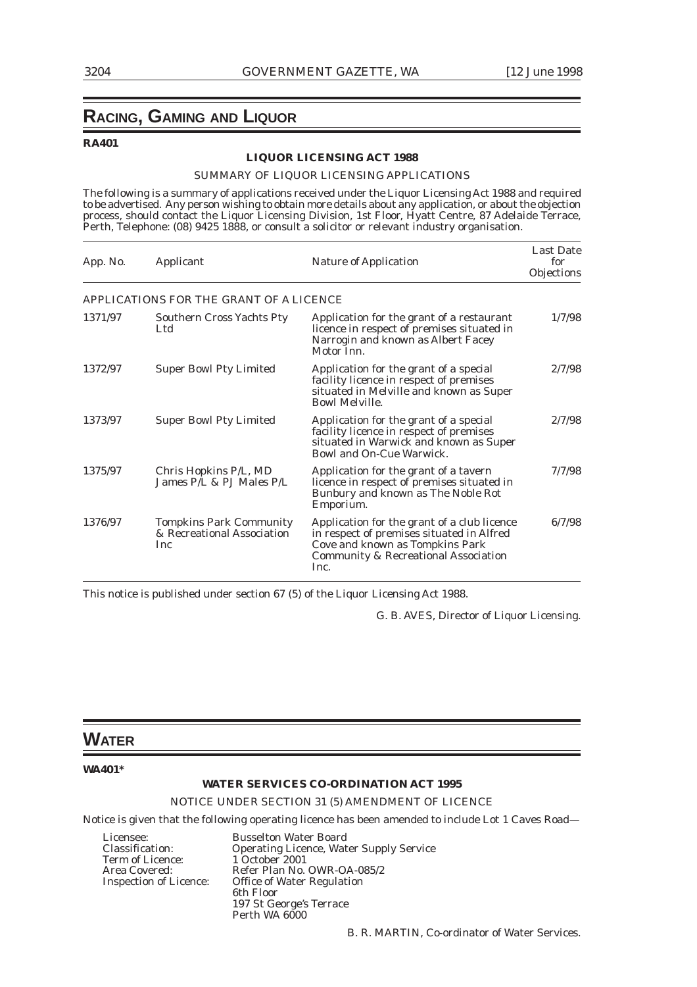## **RACING, GAMING AND LIQUOR**

### **RA401**

### **LIQUOR LICENSING ACT 1988**

### SUMMARY OF LIQUOR LICENSING APPLICATIONS

The following is a summary of applications received under the Liquor Licensing Act 1988 and required to be advertised. Any person wishing to obtain more details about any application, or about the objection process, should contact the Liquor Licensing Division, 1st Floor, Hyatt Centre, 87 Adelaide Terrace, Perth, Telephone: (08) 9425 1888, or consult a solicitor or relevant industry organisation.

| App. No. | Applicant                                                                  | <b>Nature of Application</b>                                                                                                                                                           | <b>Last Date</b><br>for<br>Objections |
|----------|----------------------------------------------------------------------------|----------------------------------------------------------------------------------------------------------------------------------------------------------------------------------------|---------------------------------------|
|          | APPLICATIONS FOR THE GRANT OF A LICENCE                                    |                                                                                                                                                                                        |                                       |
| 1371/97  | <b>Southern Cross Yachts Pty</b><br>Ltd.                                   | Application for the grant of a restaurant<br>licence in respect of premises situated in<br>Narrogin and known as Albert Facey<br>Motor Inn.                                            | 1/7/98                                |
| 1372/97  | <b>Super Bowl Pty Limited</b>                                              | Application for the grant of a special<br>facility licence in respect of premises<br>situated in Melville and known as Super<br><b>Bowl Melville.</b>                                  | 2/7/98                                |
| 1373/97  | <b>Super Bowl Pty Limited</b>                                              | Application for the grant of a special<br>facility licence in respect of premises<br>situated in Warwick and known as Super<br><b>Bowl and On-Cue Warwick.</b>                         | 2/7/98                                |
| 1375/97  | Chris Hopkins P/L, MD<br>James P/L & PJ Males P/L                          | Application for the grant of a tavern<br>licence in respect of premises situated in<br>Bunbury and known as The Noble Rot<br>Emporium.                                                 | 7/7/98                                |
| 1376/97  | <b>Tompkins Park Community</b><br>& Recreational Association<br><b>Inc</b> | Application for the grant of a club licence<br>in respect of premises situated in Alfred<br>Cove and known as Tompkins Park<br><b>Community &amp; Recreational Association</b><br>Inc. | 6/7/98                                |

This notice is published under section 67 (5) of the Liquor Licensing Act 1988.

G. B. AVES, Director of Liquor Licensing.

### **WATER**

### **WA401\***

### **WATER SERVICES CO-ORDINATION ACT 1995**

NOTICE UNDER SECTION 31 (5) AMENDMENT OF LICENCE

Notice is given that the following operating licence has been amended to include Lot 1 Caves Road—

Licensee: Busselton Water Board<br>Classification: Operating Licence, Wat Term of Licence:

Operating Licence, Water Supply Service<br>1 October 2001 Area Covered: Refer Plan No. OWR-OA-085/2<br>Inspection of Licence: Office of Water Regulation Office of Water Regulation 6th Floor 197 St George's Terrace Perth WA 6000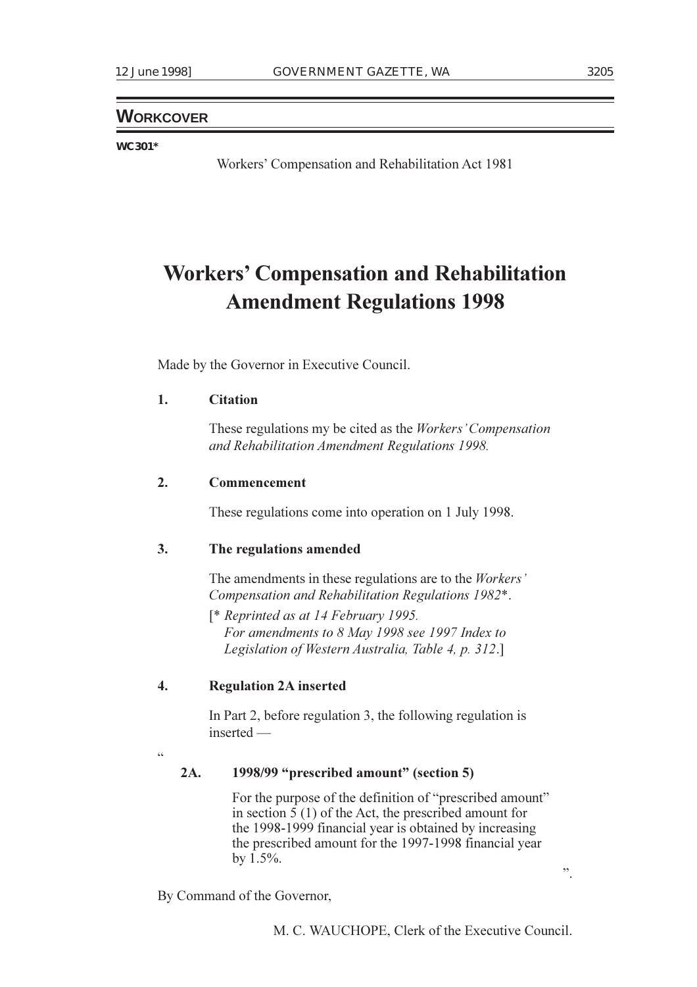### **WORKCOVER**

### **WC301\***

Workers' Compensation and Rehabilitation Act 1981

# **Workers Compensation and Rehabilitation Amendment Regulations 1998**

Made by the Governor in Executive Council.

### **1. Citation**

These regulations my be cited as the *Workers Compensation and Rehabilitation Amendment Regulations 1998.*

### **2. Commencement**

These regulations come into operation on 1 July 1998.

### **3. The regulations amended**

The amendments in these regulations are to the *Workers Compensation and Rehabilitation Regulations 1982*\*.

[\* *Reprinted as at 14 February 1995. For amendments to 8 May 1998 see 1997 Index to Legislation of Western Australia, Table 4, p. 312*.]

### **4. Regulation 2A inserted**

In Part 2, before regulation 3, the following regulation is inserted

 $\zeta$ 

### **2A. 1998/99 "prescribed amount" (section 5)**

For the purpose of the definition of "prescribed amount" in section 5 (1) of the Act, the prescribed amount for the 1998-1999 financial year is obtained by increasing the prescribed amount for the 1997-1998 financial year by 1.5%.

By Command of the Governor,

M. C. WAUCHOPE, Clerk of the Executive Council.

.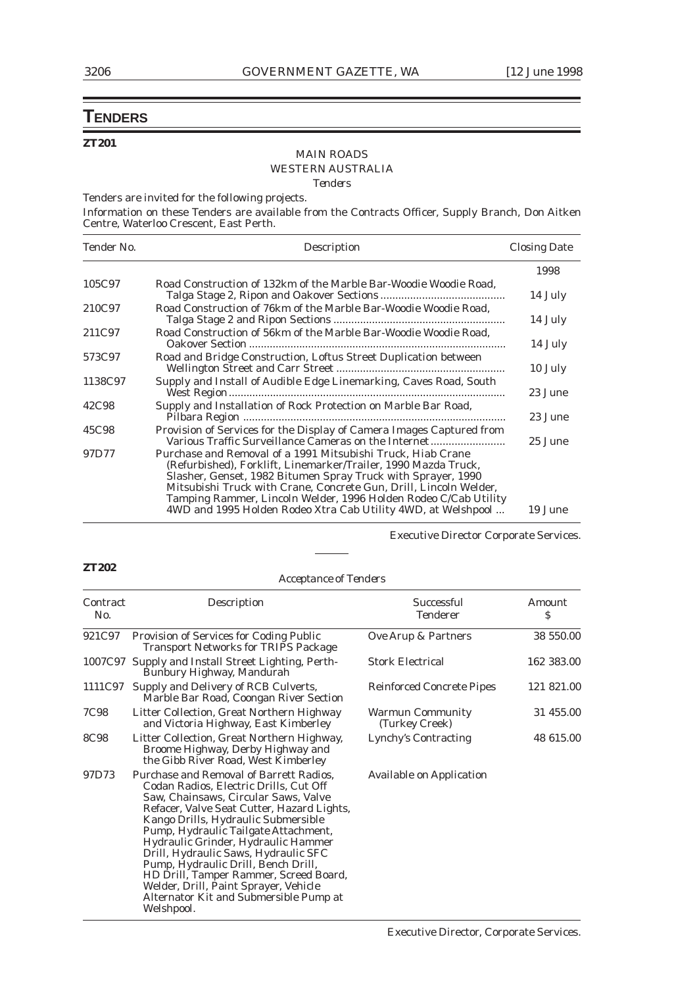## **TENDERS**

### **ZT201**

### MAIN ROADS WESTERN AUSTRALIA *Tenders*

Tenders are invited for the following projects.

Information on these Tenders are available from the Contracts Officer, Supply Branch, Don Aitken Centre, Waterloo Crescent, East Perth.

| Tender No. | Description                                                                                                                                                                                                                                                                                                                                                                                           | <b>Closing Date</b> |
|------------|-------------------------------------------------------------------------------------------------------------------------------------------------------------------------------------------------------------------------------------------------------------------------------------------------------------------------------------------------------------------------------------------------------|---------------------|
|            |                                                                                                                                                                                                                                                                                                                                                                                                       | 1998                |
| 105C97     | Road Construction of 132km of the Marble Bar-Woodie Woodie Road.                                                                                                                                                                                                                                                                                                                                      | 14 July             |
| 210C97     | Road Construction of 76km of the Marble Bar-Woodie Woodie Road.                                                                                                                                                                                                                                                                                                                                       | 14 July             |
| 211C97     | Road Construction of 56km of the Marble Bar-Woodie Woodie Road.                                                                                                                                                                                                                                                                                                                                       | 14 July             |
| 573C97     | Road and Bridge Construction, Loftus Street Duplication between                                                                                                                                                                                                                                                                                                                                       | 10 July             |
| 1138C97    | Supply and Install of Audible Edge Linemarking, Caves Road, South                                                                                                                                                                                                                                                                                                                                     | 23 June             |
| 42C98      | Supply and Installation of Rock Protection on Marble Bar Road,                                                                                                                                                                                                                                                                                                                                        | 23 June             |
| 45C98      | Provision of Services for the Display of Camera Images Captured from<br>Various Traffic Surveillance Cameras on the Internet                                                                                                                                                                                                                                                                          | 25 June             |
| 97D77      | Purchase and Removal of a 1991 Mitsubishi Truck, Hiab Crane<br>(Refurbished), Forklift, Linemarker/Trailer, 1990 Mazda Truck,<br>Slasher, Genset, 1982 Bitumen Spray Truck with Sprayer, 1990<br>Mitsubishi Truck with Crane, Concrete Gun, Drill, Lincoln Welder,<br>Tamping Rammer, Lincoln Welder, 1996 Holden Rodeo C/Cab Utility<br>4WD and 1995 Holden Rodeo Xtra Cab Utility 4WD, at Welshpool | 19 June             |

Executive Director Corporate Services.

### **ZT202**

Welshpool.

*Acceptance of Tenders*

| Contract<br>No. | Description                                                                                                                                                                                                                                                                                                                                                                                                                                                                                               | Successful<br><b>Tenderer</b>             | Amount<br>S |
|-----------------|-----------------------------------------------------------------------------------------------------------------------------------------------------------------------------------------------------------------------------------------------------------------------------------------------------------------------------------------------------------------------------------------------------------------------------------------------------------------------------------------------------------|-------------------------------------------|-------------|
|                 | 921C97 Provision of Services for Coding Public<br><b>Transport Networks for TRIPS Package</b>                                                                                                                                                                                                                                                                                                                                                                                                             | Ove Arup & Partners                       | 38 550.00   |
|                 | 1007C97 Supply and Install Street Lighting, Perth-<br>Bunbury Highway, Mandurah                                                                                                                                                                                                                                                                                                                                                                                                                           | <b>Stork Electrical</b>                   | 162 383.00  |
| 1111C97         | Supply and Delivery of RCB Culverts,<br>Marble Bar Road, Coongan River Section                                                                                                                                                                                                                                                                                                                                                                                                                            | <b>Reinforced Concrete Pipes</b>          | 121 821.00  |
| 7C98            | Litter Collection, Great Northern Highway<br>and Victoria Highway, East Kimberley                                                                                                                                                                                                                                                                                                                                                                                                                         | <b>Warmun Community</b><br>(Turkey Creek) | 31 455.00   |
| <b>8C98</b>     | Litter Collection, Great Northern Highway,<br>Broome Highway, Derby Highway and<br>the Gibb River Road, West Kimberley                                                                                                                                                                                                                                                                                                                                                                                    | Lynchy's Contracting                      | 48 615.00   |
| 97D73           | Purchase and Removal of Barrett Radios,<br>Codan Radios, Electric Drills, Cut Off<br>Saw, Chainsaws, Circular Saws, Valve<br>Refacer, Valve Seat Cutter, Hazard Lights,<br>Kango Drills, Hydraulic Submersible<br>Pump, Hydraulic Tailgate Attachment,<br>Hydraulic Grinder, Hydraulic Hammer<br>Drill, Hydraulic Saws, Hydraulic SFC<br>Pump, Hydraulic Drill, Bench Drill,<br>HD Drill, Tamper Rammer, Screed Board,<br>Welder, Drill, Paint Sprayer, Vehicle<br>Alternator Kit and Submersible Pump at | <b>Available on Application</b>           |             |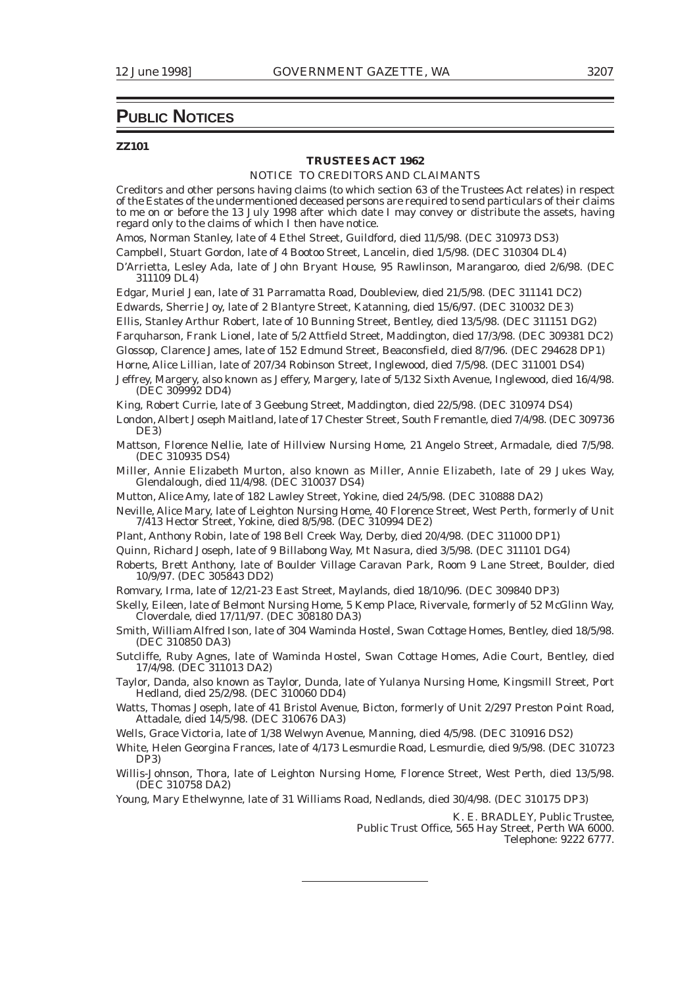### **PUBLIC NOTICES**

#### **ZZ101**

### **TRUSTEES ACT 1962**

### NOTICE TO CREDITORS AND CLAIMANTS

Creditors and other persons having claims (to which section 63 of the Trustees Act relates) in respect of the Estates of the undermentioned deceased persons are required to send particulars of their claims to me on or before the 13 July 1998 after which date I may convey or distribute the assets, having regard only to the claims of which I then have notice.

Amos, Norman Stanley, late of 4 Ethel Street, Guildford, died 11/5/98. (DEC 310973 DS3)

Campbell, Stuart Gordon, late of 4 Bootoo Street, Lancelin, died 1/5/98. (DEC 310304 DL4)

D'Arrietta, Lesley Ada, late of John Bryant House, 95 Rawlinson, Marangaroo, died 2/6/98. (DEC 311109 DL4)

Edgar, Muriel Jean, late of 31 Parramatta Road, Doubleview, died 21/5/98. (DEC 311141 DC2)

Edwards, Sherrie Joy, late of 2 Blantyre Street, Katanning, died 15/6/97. (DEC 310032 DE3)

Ellis, Stanley Arthur Robert, late of 10 Bunning Street, Bentley, died 13/5/98. (DEC 311151 DG2)

Farquharson, Frank Lionel, late of 5/2 Attfield Street, Maddington, died 17/3/98. (DEC 309381 DC2)

Glossop, Clarence James, late of 152 Edmund Street, Beaconsfield, died 8/7/96. (DEC 294628 DP1)

Horne, Alice Lillian, late of 207/34 Robinson Street, Inglewood, died 7/5/98. (DEC 311001 DS4)

Jeffrey, Margery, also known as Jeffery, Margery, late of 5/132 Sixth Avenue, Inglewood, died 16/4/98. (DEC 309992 DD4)

King, Robert Currie, late of 3 Geebung Street, Maddington, died 22/5/98. (DEC 310974 DS4)

London, Albert Joseph Maitland, late of 17 Chester Street, South Fremantle, died 7/4/98. (DEC 309736 DE3)

Mattson, Florence Nellie, late of Hillview Nursing Home, 21 Angelo Street, Armadale, died 7/5/98. (DEC 310935 DS4)

Miller, Annie Elizabeth Murton, also known as Miller, Annie Elizabeth, late of 29 Jukes Way, Glendalough, died 11/4/98. (DEC 310037 DS4)

Mutton, Alice Amy, late of 182 Lawley Street, Yokine, died 24/5/98. (DEC 310888 DA2)

- Neville, Alice Mary, late of Leighton Nursing Home, 40 Florence Street, West Perth, formerly of Unit 7/413 Hector Street, Yokine, died 8/5/98. (DEC 310994 DE2)
- Plant, Anthony Robin, late of 198 Bell Creek Way, Derby, died 20/4/98. (DEC 311000 DP1)

Quinn, Richard Joseph, late of 9 Billabong Way, Mt Nasura, died 3/5/98. (DEC 311101 DG4)

- Roberts, Brett Anthony, late of Boulder Village Caravan Park, Room 9 Lane Street, Boulder, died 10/9/97. (DEC 305843 DD2)
- Romvary, Irma, late of 12/21-23 East Street, Maylands, died 18/10/96. (DEC 309840 DP3)
- Skelly, Eileen, late of Belmont Nursing Home, 5 Kemp Place, Rivervale, formerly of 52 McGlinn Way, Cloverdale, died 17/11/97. (DEC 308180 DA3)

Smith, William Alfred Ison, late of 304 Waminda Hostel, Swan Cottage Homes, Bentley, died 18/5/98. (DEC 310850 DA3)

Sutcliffe, Ruby Agnes, late of Waminda Hostel, Swan Cottage Homes, Adie Court, Bentley, died 17/4/98. (DEC 311013 DA2)

Taylor, Danda, also known as Taylor, Dunda, late of Yulanya Nursing Home, Kingsmill Street, Port Hedland, died 25/2/98. (DEC 310060 DD4)

- Watts, Thomas Joseph, late of 41 Bristol Avenue, Bicton, formerly of Unit 2/297 Preston Point Road, Attadale, died 14/5/98. (DEC 310676 DA3)
- Wells, Grace Victoria, late of 1/38 Welwyn Avenue, Manning, died 4/5/98. (DEC 310916 DS2)

White, Helen Georgina Frances, late of 4/173 Lesmurdie Road, Lesmurdie, died 9/5/98. (DEC 310723 DP3)

Willis-Johnson, Thora, late of Leighton Nursing Home, Florence Street, West Perth, died 13/5/98. (DEC 310758 DA2)

Young, Mary Ethelwynne, late of 31 Williams Road, Nedlands, died 30/4/98. (DEC 310175 DP3)

K. E. BRADLEY, Public Trustee, Public Trust Office, 565 Hay Street, Perth WA 6000. Telephone: 9222 6777.